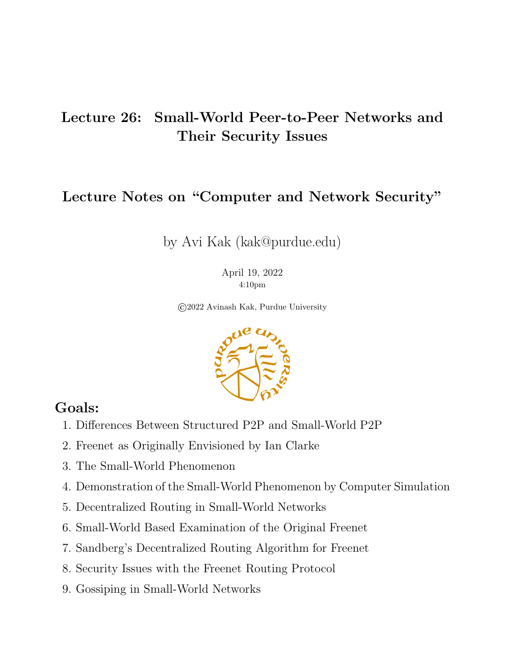## Lecture 26: Small-World Peer-to-Peer Networks and Their Security Issues

### Lecture Notes on "Computer and Network Security"

### by Avi Kak (kak@purdue.edu)

April 19, 2022 4:10pm

©2022 Avinash Kak, Purdue University



### Goals:

- 1. Differences Between Structured P2P and Small-World P2P
- 2. Freenet as Originally Envisioned by Ian Clarke
- 3. The Small-World Phenomenon
- 4. Demonstration of the Small-World Phenomenon by Computer Simulation
- 5. Decentralized Routing in Small-World Networks
- 6. Small-World Based Examination of the Original Freenet
- 7. Sandberg's Decentralized Routing Algorithm for Freenet
- 8. Security Issues with the Freenet Routing Protocol
- 9. Gossiping in Small-World Networks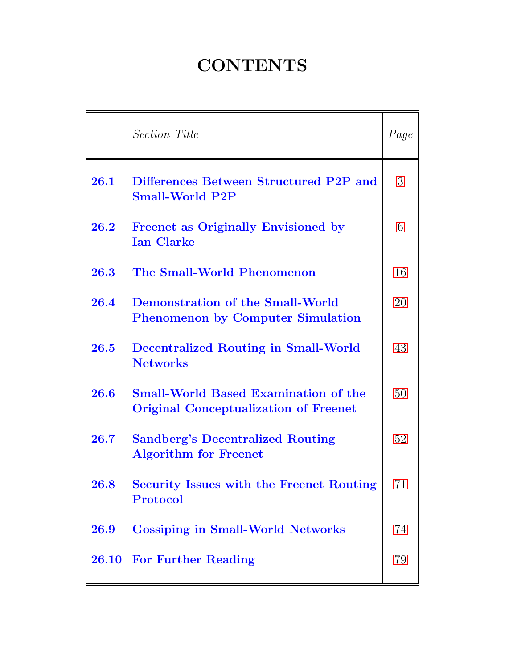# **CONTENTS**

<span id="page-1-0"></span>

|       | <i>Section Title</i>                                                                        | Page |
|-------|---------------------------------------------------------------------------------------------|------|
| 26.1  | Differences Between Structured P2P and<br><b>Small-World P2P</b>                            | 3    |
| 26.2  | Freenet as Originally Envisioned by<br><b>Ian Clarke</b>                                    | 6    |
| 26.3  | The Small-World Phenomenon                                                                  | 16   |
| 26.4  | Demonstration of the Small-World<br><b>Phenomenon by Computer Simulation</b>                | 20   |
| 26.5  | Decentralized Routing in Small-World<br><b>Networks</b>                                     | 43   |
| 26.6  | <b>Small-World Based Examination of the</b><br><b>Original Conceptualization of Freenet</b> | 50   |
| 26.7  | <b>Sandberg's Decentralized Routing</b><br><b>Algorithm for Freenet</b>                     | 52   |
| 26.8  | <b>Security Issues with the Freenet Routing</b><br>Protocol                                 | 71   |
| 26.9  | <b>Gossiping in Small-World Networks</b>                                                    | 74   |
| 26.10 | <b>For Further Reading</b>                                                                  | 79   |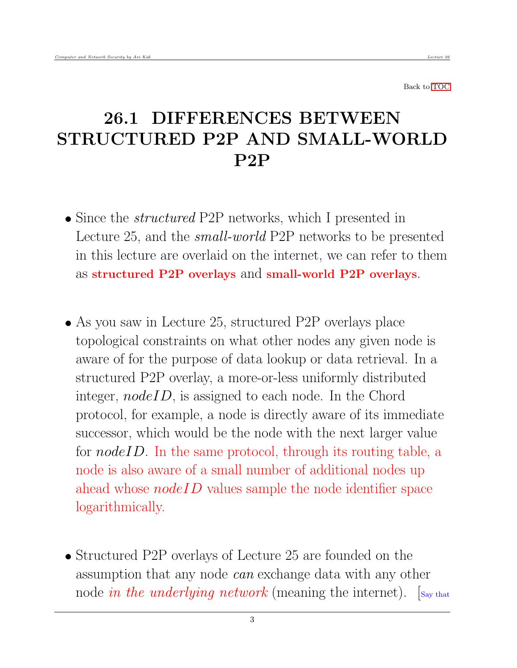<span id="page-2-0"></span>Back to [TOC](#page-1-0)

# 26.1 DIFFERENCES BETWEEN STRUCTURED P2P AND SMALL-WORLD P2P

- Since the *structured* P2P networks, which I presented in Lecture 25, and the small-world P2P networks to be presented in this lecture are overlaid on the internet, we can refer to them as structured P2P overlays and small-world P2P overlays.
- As you saw in Lecture 25, structured P2P overlays place topological constraints on what other nodes any given node is aware of for the purpose of data lookup or data retrieval. In a structured P2P overlay, a more-or-less uniformly distributed integer,  $nodeID$ , is assigned to each node. In the Chord protocol, for example, a node is directly aware of its immediate successor, which would be the node with the next larger value for  $nodeID$ . In the same protocol, through its routing table, a node is also aware of a small number of additional nodes up ahead whose  $nodeID$  values sample the node identifier space logarithmically.
- Structured P2P overlays of Lecture 25 are founded on the assumption that any node can exchange data with any other node in the underlying network (meaning the internet). [Say that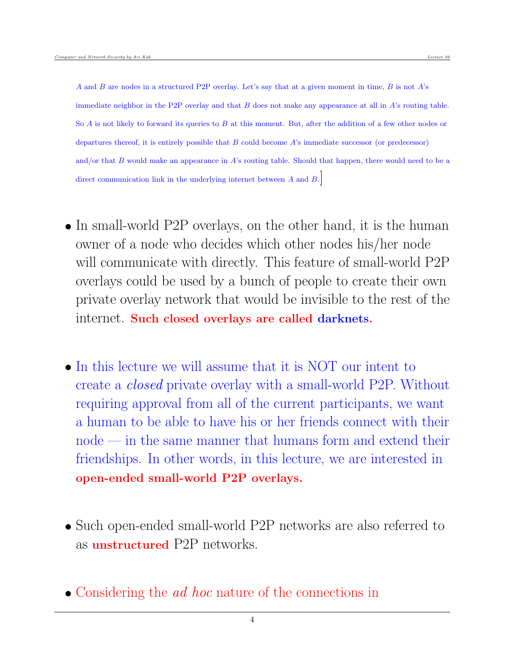A and B are nodes in a structured P2P overlay. Let's say that at a given moment in time, B is not A's immediate neighbor in the P2P overlay and that  $B$  does not make any appearance at all in  $A$ 's routing table. So A is not likely to forward its queries to B at this moment. But, after the addition of a few other nodes or departures thereof, it is entirely possible that  $B$  could become  $A$ 's immediate successor (or predecessor) and/or that  $B$  would make an appearance in  $A$ 's routing table. Should that happen, there would need to be a direct communication link in the underlying internet between  $A$  and  $B$ .

- In small-world P2P overlays, on the other hand, it is the human owner of a node who decides which other nodes his/her node will communicate with directly. This feature of small-world P2P overlays could be used by a bunch of people to create their own private overlay network that would be invisible to the rest of the internet. Such closed overlays are called darknets.
- In this lecture we will assume that it is NOT our intent to create a closed private overlay with a small-world P2P. Without requiring approval from all of the current participants, we want a human to be able to have his or her friends connect with their node — in the same manner that humans form and extend their friendships. In other words, in this lecture, we are interested in open-ended small-world P2P overlays.
- Such open-ended small-world P2P networks are also referred to as unstructured P2P networks.
- Considering the *ad hoc* nature of the connections in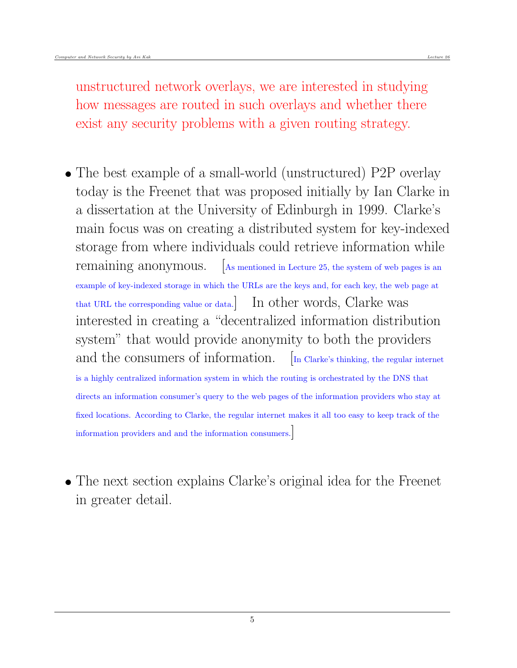unstructured network overlays, we are interested in studying how messages are routed in such overlays and whether there exist any security problems with a given routing strategy.

- The best example of a small-world (unstructured) P2P overlay today is the Freenet that was proposed initially by Ian Clarke in a dissertation at the University of Edinburgh in 1999. Clarke's main focus was on creating a distributed system for key-indexed storage from where individuals could retrieve information while remaining anonymous. [As mentioned in Lecture 25, the system of web pages is an example of key-indexed storage in which the URLs are the keys and, for each key, the web page at that URL the corresponding value or data.] In other words, Clarke was interested in creating a "decentralized information distribution system" that would provide anonymity to both the providers and the consumers of information.  $\left[$ In Clarke's thinking, the regular internet is a highly centralized information system in which the routing is orchestrated by the DNS that directs an information consumer's query to the web pages of the information providers who stay at fixed locations. According to Clarke, the regular internet makes it all too easy to keep track of the information providers and and the information consumers.]
- The next section explains Clarke's original idea for the Freenet in greater detail.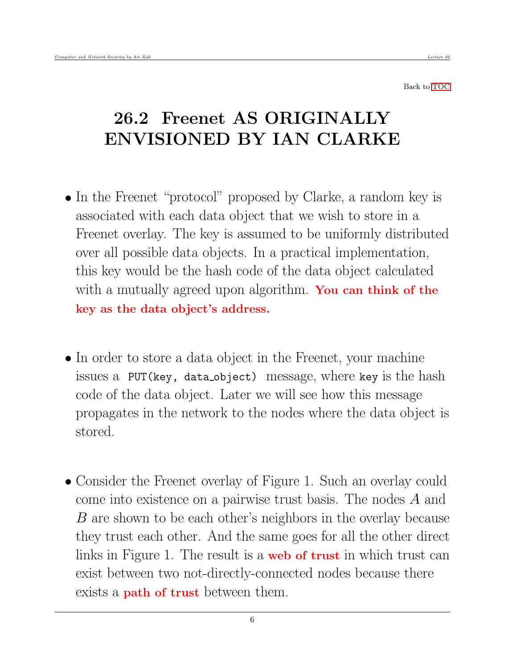<span id="page-5-0"></span>Back to [TOC](#page-1-0)

# 26.2 Freenet AS ORIGINALLY ENVISIONED BY IAN CLARKE

- In the Freenet "protocol" proposed by Clarke, a random key is associated with each data object that we wish to store in a Freenet overlay. The key is assumed to be uniformly distributed over all possible data objects. In a practical implementation, this key would be the hash code of the data object calculated with a mutually agreed upon algorithm. You can think of the key as the data object's address.
- In order to store a data object in the Freenet, your machine issues a PUT(key, data object) message, where key is the hash code of the data object. Later we will see how this message propagates in the network to the nodes where the data object is stored.
- Consider the Freenet overlay of Figure 1. Such an overlay could come into existence on a pairwise trust basis. The nodes A and B are shown to be each other's neighbors in the overlay because they trust each other. And the same goes for all the other direct links in Figure 1. The result is a **web of trust** in which trust can exist between two not-directly-connected nodes because there exists a **path of trust** between them.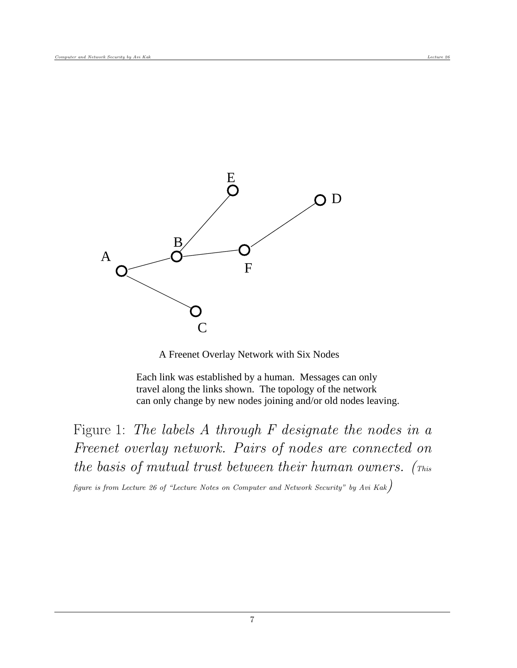

A Freenet Overlay Network with Six Nodes

Each link was established by a human. Messages can only travel along the links shown. The topology of the network can only change by new nodes joining and/or old nodes leaving.

Figure 1: The labels A through F designate the nodes in a Freenet overlay network. Pairs of nodes are connected on the basis of mutual trust between their human owners.  $(r_{his})$ 

figure is from Lecture 26 of "Lecture Notes on Computer and Network Security" by Avi Kak)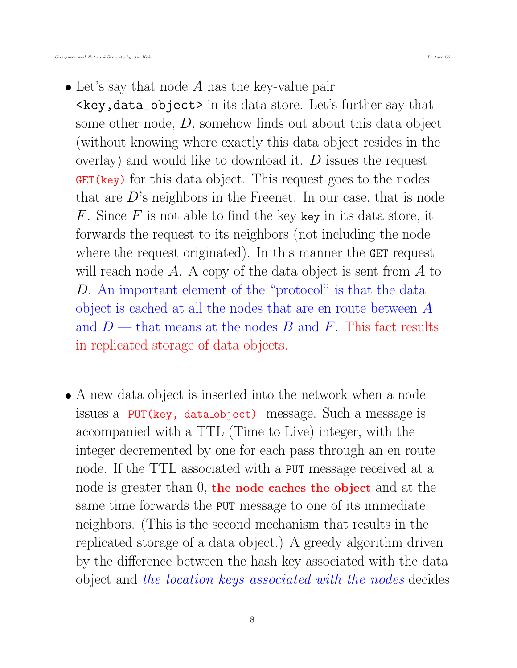- $\bullet$  Let's say that node A has the key-value pair  $\langle$ key, data\_object> in its data store. Let's further say that some other node,  $D$ , somehow finds out about this data object (without knowing where exactly this data object resides in the overlay) and would like to download it.  $D$  issues the request GET(key) for this data object. This request goes to the nodes that are  $D$ 's neighbors in the Freenet. In our case, that is node F. Since  $F$  is not able to find the key key in its data store, it forwards the request to its neighbors (not including the node where the request originated). In this manner the **GET** request will reach node  $A$ . A copy of the data object is sent from  $A$  to D. An important element of the "protocol" is that the data object is cached at all the nodes that are en route between A and  $D$  — that means at the nodes B and F. This fact results in replicated storage of data objects.
- A new data object is inserted into the network when a node issues a PUT(key, data object) message. Such a message is accompanied with a TTL (Time to Live) integer, with the integer decremented by one for each pass through an en route node. If the TTL associated with a PUT message received at a node is greater than 0, the node caches the object and at the same time forwards the PUT message to one of its immediate neighbors. (This is the second mechanism that results in the replicated storage of a data object.) A greedy algorithm driven by the difference between the hash key associated with the data object and the location keys associated with the nodes decides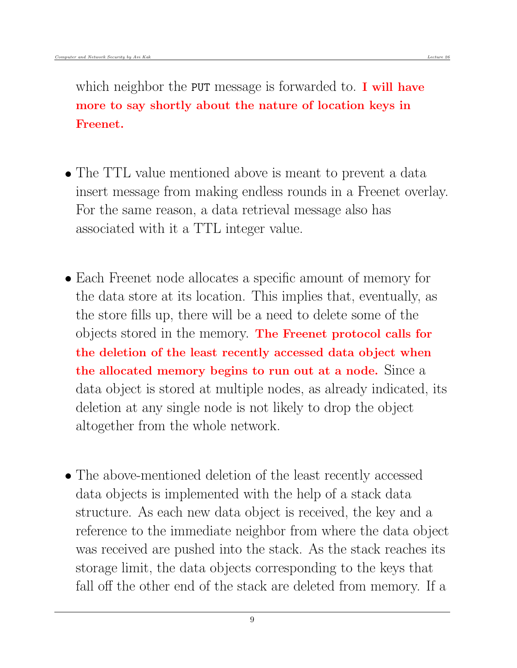which neighbor the PUT message is forwarded to. **I will have** more to say shortly about the nature of location keys in Freenet.

- The TTL value mentioned above is meant to prevent a data insert message from making endless rounds in a Freenet overlay. For the same reason, a data retrieval message also has associated with it a TTL integer value.
- Each Freenet node allocates a specific amount of memory for the data store at its location. This implies that, eventually, as the store fills up, there will be a need to delete some of the objects stored in the memory. The Freenet protocol calls for the deletion of the least recently accessed data object when the allocated memory begins to run out at a node. Since a data object is stored at multiple nodes, as already indicated, its deletion at any single node is not likely to drop the object altogether from the whole network.
- The above-mentioned deletion of the least recently accessed data objects is implemented with the help of a stack data structure. As each new data object is received, the key and a reference to the immediate neighbor from where the data object was received are pushed into the stack. As the stack reaches its storage limit, the data objects corresponding to the keys that fall off the other end of the stack are deleted from memory. If a

9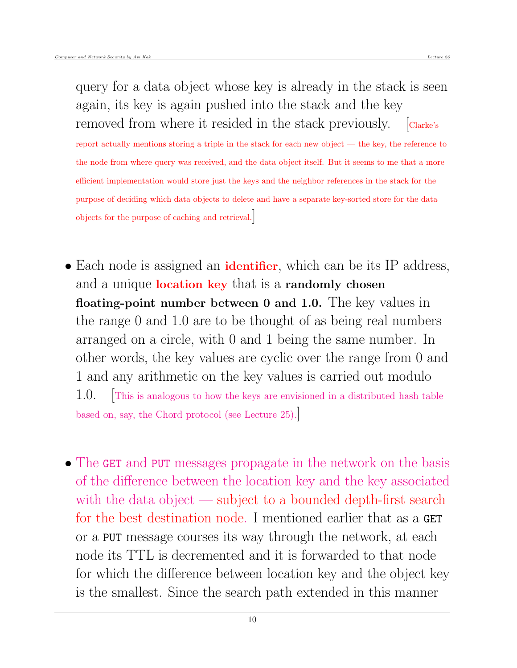query for a data object whose key is already in the stack is seen again, its key is again pushed into the stack and the key removed from where it resided in the stack previously. [Clarke's report actually mentions storing a triple in the stack for each new object — the key, the reference to the node from where query was received, and the data object itself. But it seems to me that a more efficient implementation would store just the keys and the neighbor references in the stack for the purpose of deciding which data objects to delete and have a separate key-sorted store for the data objects for the purpose of caching and retrieval.]

- Each node is assigned an **identifier**, which can be its IP address, and a unique **location key** that is a randomly chosen floating-point number between 0 and 1.0. The key values in the range 0 and 1.0 are to be thought of as being real numbers arranged on a circle, with 0 and 1 being the same number. In other words, the key values are cyclic over the range from 0 and 1 and any arithmetic on the key values is carried out modulo 1.0. [This is analogous to how the keys are envisioned in a distributed hash table based on, say, the Chord protocol (see Lecture 25).]
- The GET and PUT messages propagate in the network on the basis of the difference between the location key and the key associated with the data object — subject to a bounded depth-first search for the best destination node. I mentioned earlier that as a GET or a PUT message courses its way through the network, at each node its TTL is decremented and it is forwarded to that node for which the difference between location key and the object key is the smallest. Since the search path extended in this manner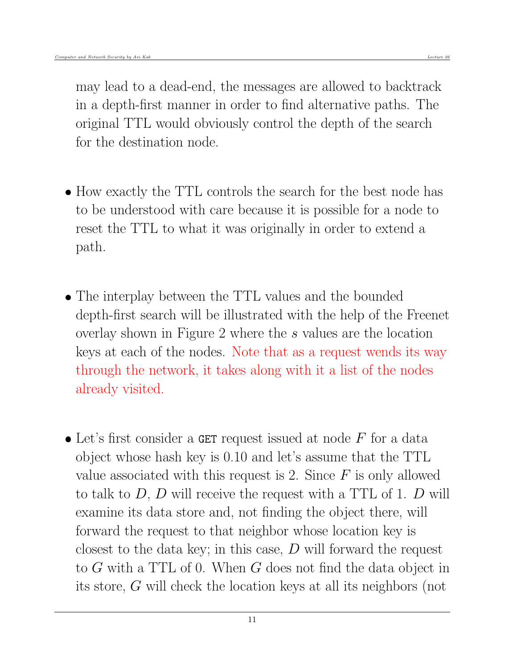may lead to a dead-end, the messages are allowed to backtrack in a depth-first manner in order to find alternative paths. The original TTL would obviously control the depth of the search for the destination node.

- How exactly the TTL controls the search for the best node has to be understood with care because it is possible for a node to reset the TTL to what it was originally in order to extend a path.
- The interplay between the TTL values and the bounded depth-first search will be illustrated with the help of the Freenet overlay shown in Figure 2 where the s values are the location keys at each of the nodes. Note that as a request wends its way through the network, it takes along with it a list of the nodes already visited.
- $\bullet$  Let's first consider a GET request issued at node  $F$  for a data object whose hash key is 0.10 and let's assume that the TTL value associated with this request is 2. Since  $F$  is only allowed to talk to D, D will receive the request with a TTL of 1. D will examine its data store and, not finding the object there, will forward the request to that neighbor whose location key is closest to the data key; in this case,  $D$  will forward the request to G with a TTL of 0. When G does not find the data object in its store, G will check the location keys at all its neighbors (not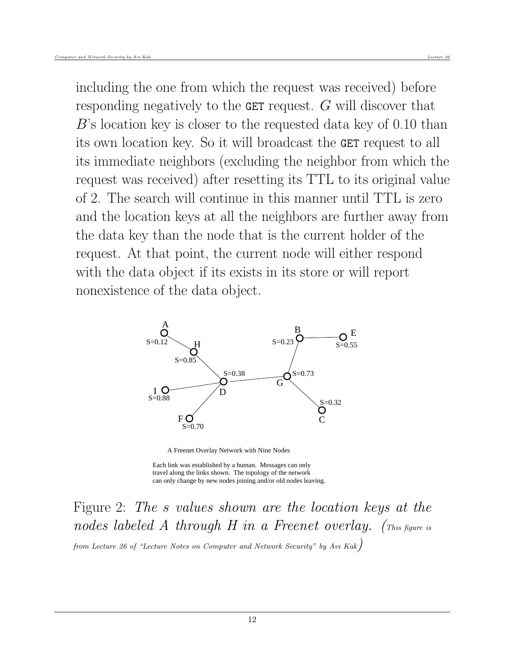including the one from which the request was received) before responding negatively to the GET request. G will discover that B's location key is closer to the requested data key of 0.10 than its own location key. So it will broadcast the GET request to all its immediate neighbors (excluding the neighbor from which the request was received) after resetting its TTL to its original value of 2. The search will continue in this manner until TTL is zero and the location keys at all the neighbors are further away from the data key than the node that is the current holder of the request. At that point, the current node will either respond with the data object if its exists in its store or will report nonexistence of the data object.



A Freenet Overlay Network with Nine Nodes

Each link was established by a human. Messages can only travel along the links shown. The topology of the network can only change by new nodes joining and/or old nodes leaving.

Figure 2: The s values shown are the location keys at the nodes labeled A through H in a Freenet overlay. (This figure is

from Lecture 26 of "Lecture Notes on Computer and Network Security" by Avi Kak)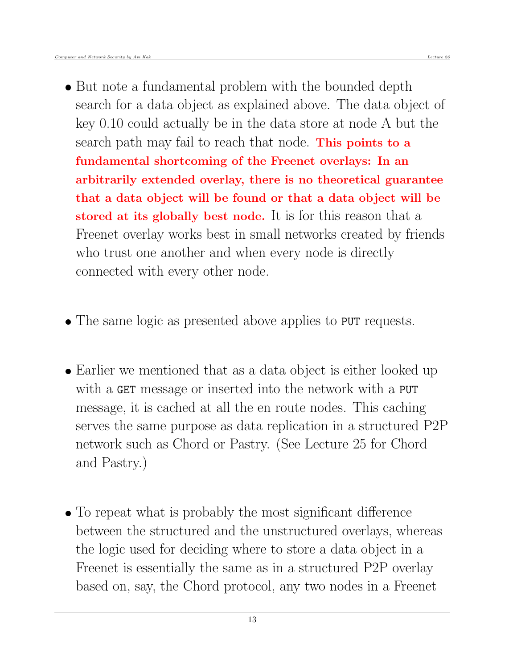- But note a fundamental problem with the bounded depth search for a data object as explained above. The data object of key 0.10 could actually be in the data store at node A but the search path may fail to reach that node. This points to a fundamental shortcoming of the Freenet overlays: In an arbitrarily extended overlay, there is no theoretical guarantee that a data object will be found or that a data object will be stored at its globally best node. It is for this reason that a Freenet overlay works best in small networks created by friends who trust one another and when every node is directly connected with every other node.
- The same logic as presented above applies to PUT requests.
- Earlier we mentioned that as a data object is either looked up with a GET message or inserted into the network with a PUT message, it is cached at all the en route nodes. This caching serves the same purpose as data replication in a structured P2P network such as Chord or Pastry. (See Lecture 25 for Chord and Pastry.)
- To repeat what is probably the most significant difference between the structured and the unstructured overlays, whereas the logic used for deciding where to store a data object in a Freenet is essentially the same as in a structured P2P overlay based on, say, the Chord protocol, any two nodes in a Freenet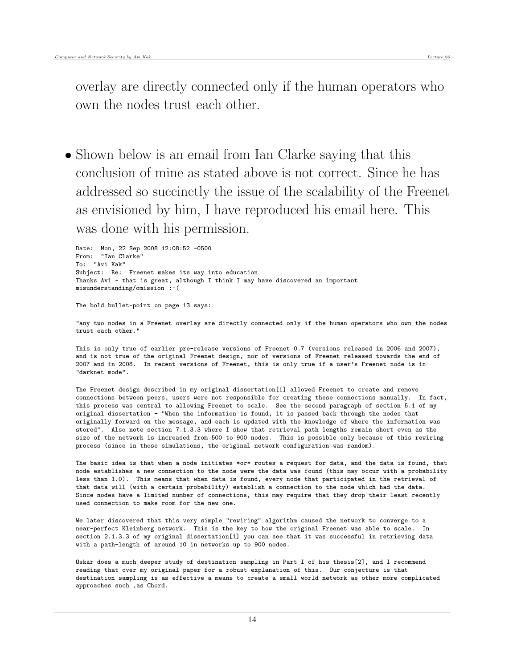overlay are directly connected only if the human operators who own the nodes trust each other.

• Shown below is an email from Ian Clarke saying that this conclusion of mine as stated above is not correct. Since he has addressed so succinctly the issue of the scalability of the Freenet as envisioned by him, I have reproduced his email here. This was done with his permission.

Date: Mon, 22 Sep 2008 12:08:52 -0500 From: "Ian Clarke" To: "Avi Kak" Subject: Re: Freenet makes its way into education Thanks Avi - that is great, although I think I may have discovered an important misunderstanding/omission :-(

The bold bullet-point on page 13 says:

"any two nodes in a Freenet overlay are directly connected only if the human operators who own the nodes trust each other."

This is only true of earlier pre-release versions of Freenet 0.7 (versions released in 2006 and 2007), and is not true of the original Freenet design, nor of versions of Freenet released towards the end of 2007 and in 2008. In recent versions of Freenet, this is only true if a user's Freenet node is in "darknet mode".

The Freenet design described in my original dissertation[1] allowed Freenet to create and remove connections between peers, users were not responsible for creating these connections manually. In fact, this process was central to allowing Freenet to scale. See the second paragraph of section 5.1 of my original dissertation - "When the information is found, it is passed back through the nodes that originally forward on the message, and each is updated with the knowledge of where the information was stored". Also note section 7.1.3.3 where I show that retrieval path lengths remain short even as the size of the network is increased from 500 to 900 nodes. This is possible only because of this rewiring process (since in those simulations, the original network configuration was random).

The basic idea is that when a node initiates \*or\* routes a request for data, and the data is found, that node establishes a new connection to the node were the data was found (this may occur with a probability less than 1.0). This means that when data is found, every node that participated in the retrieval of that data will (with a certain probability) establish a connection to the node which had the data. Since nodes have a limited number of connections, this may require that they drop their least recently used connection to make room for the new one.

We later discovered that this very simple "rewiring" algorithm caused the network to converge to a near-perfect Kleinberg network. This is the key to how the original Freenet was able to scale. In section 2.1.3.3 of my original dissertation[1] you can see that it was successful in retrieving data with a path-length of around 10 in networks up to 900 nodes.

Oskar does a much deeper study of destination sampling in Part I of his thesis[2], and I recommend reading that over my original paper for a robust explanation of this. Our conjecture is that destination sampling is as effective a means to create a small world network as other more complicated approaches such ,as Chord.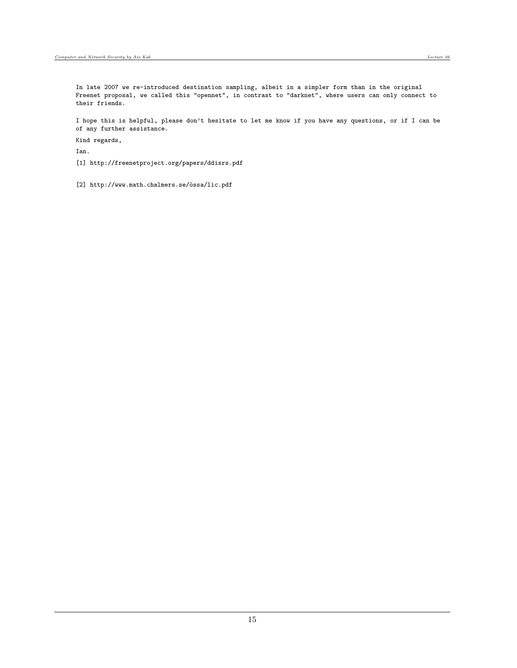In late 2007 we re-introduced destination sampling, albeit in a simpler form than in the original Freenet proposal, we called this "opennet", in contrast to "darknet", where users can only connect to their friends.

I hope this is helpful, please don't hesitate to let me know if you have any questions, or if I can be of any further assistance.

Kind regards,

Ian.

[1] http://freenetproject.org/papers/ddisrs.pdf

[2] http://www.math.chalmers.se/õssa/lic.pdf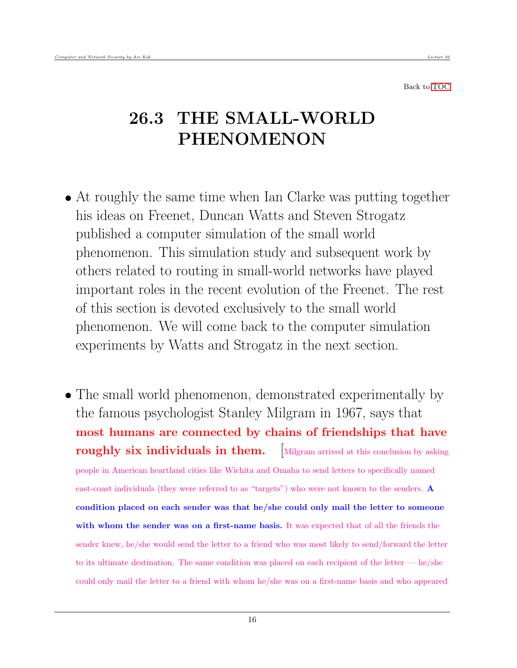<span id="page-15-0"></span>Back to [TOC](#page-1-0)

## 26.3 THE SMALL-WORLD PHENOMENON

- At roughly the same time when Ian Clarke was putting together his ideas on Freenet, Duncan Watts and Steven Strogatz published a computer simulation of the small world phenomenon. This simulation study and subsequent work by others related to routing in small-world networks have played important roles in the recent evolution of the Freenet. The rest of this section is devoted exclusively to the small world phenomenon. We will come back to the computer simulation experiments by Watts and Strogatz in the next section.
- The small world phenomenon, demonstrated experimentally by the famous psychologist Stanley Milgram in 1967, says that most humans are connected by chains of friendships that have roughly six individuals in them.  $\Box$  Milgram arrived at this conclusion by asking people in American heartland cities like Wichita and Omaha to send letters to specifically named east-coast individuals (they were referred to as "targets") who were not known to the senders. A condition placed on each sender was that he/she could only mail the letter to someone with whom the sender was on a first-name basis. It was expected that of all the friends the sender knew, he/she would send the letter to a friend who was most likely to send/forward the letter to its ultimate destination. The same condition was placed on each recipient of the letter — he/she could only mail the letter to a friend with whom he/she was on a first-name basis and who appeared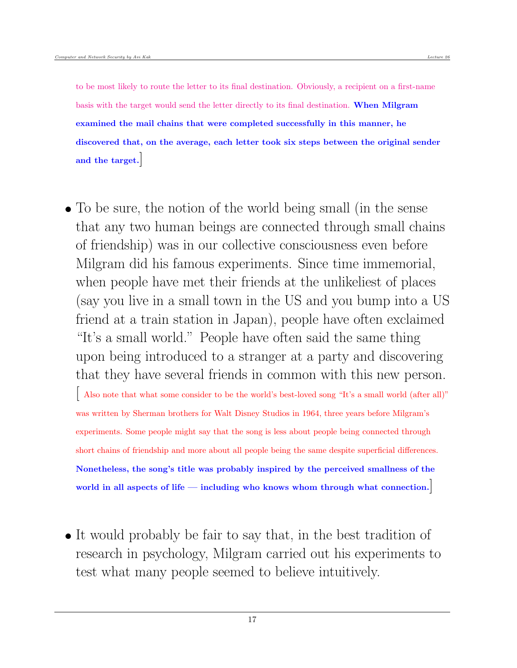to be most likely to route the letter to its final destination. Obviously, a recipient on a first-name basis with the target would send the letter directly to its final destination. When Milgram examined the mail chains that were completed successfully in this manner, he discovered that, on the average, each letter took six steps between the original sender and the target.]

- To be sure, the notion of the world being small (in the sense that any two human beings are connected through small chains of friendship) was in our collective consciousness even before Milgram did his famous experiments. Since time immemorial, when people have met their friends at the unlikeliest of places (say you live in a small town in the US and you bump into a US friend at a train station in Japan), people have often exclaimed "It's a small world." People have often said the same thing upon being introduced to a stranger at a party and discovering that they have several friends in common with this new person. [ Also note that what some consider to be the world's best-loved song "It's a small world (after all)" was written by Sherman brothers for Walt Disney Studios in 1964, three years before Milgram's experiments. Some people might say that the song is less about people being connected through short chains of friendship and more about all people being the same despite superficial differences. Nonetheless, the song's title was probably inspired by the perceived smallness of the world in all aspects of life — including who knows whom through what connection.
- It would probably be fair to say that, in the best tradition of research in psychology, Milgram carried out his experiments to test what many people seemed to believe intuitively.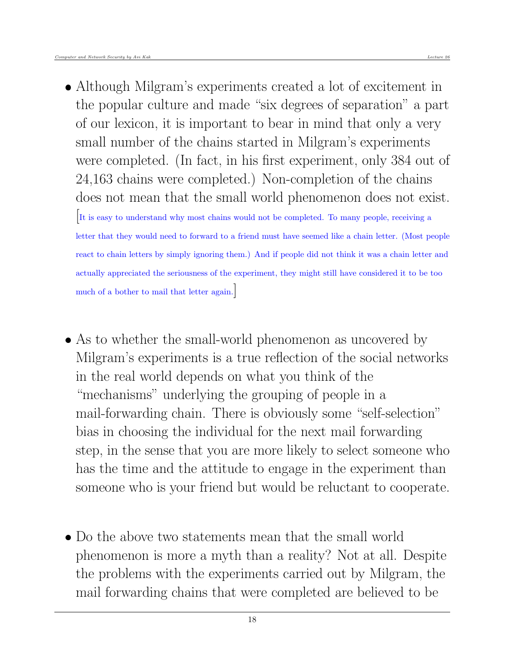Although Milgram's experiments created a lot of excitement in the popular culture and made "six degrees of separation" a part of our lexicon, it is important to bear in mind that only a very small number of the chains started in Milgram's experiments were completed. (In fact, in his first experiment, only 384 out of 24,163 chains were completed.) Non-completion of the chains does not mean that the small world phenomenon does not exist.

[It is easy to understand why most chains would not be completed. To many people, receiving a letter that they would need to forward to a friend must have seemed like a chain letter. (Most people react to chain letters by simply ignoring them.) And if people did not think it was a chain letter and actually appreciated the seriousness of the experiment, they might still have considered it to be too much of a bother to mail that letter again.

- As to whether the small-world phenomenon as uncovered by Milgram's experiments is a true reflection of the social networks in the real world depends on what you think of the "mechanisms" underlying the grouping of people in a mail-forwarding chain. There is obviously some "self-selection" bias in choosing the individual for the next mail forwarding step, in the sense that you are more likely to select someone who has the time and the attitude to engage in the experiment than someone who is your friend but would be reluctant to cooperate.
- Do the above two statements mean that the small world phenomenon is more a myth than a reality? Not at all. Despite the problems with the experiments carried out by Milgram, the mail forwarding chains that were completed are believed to be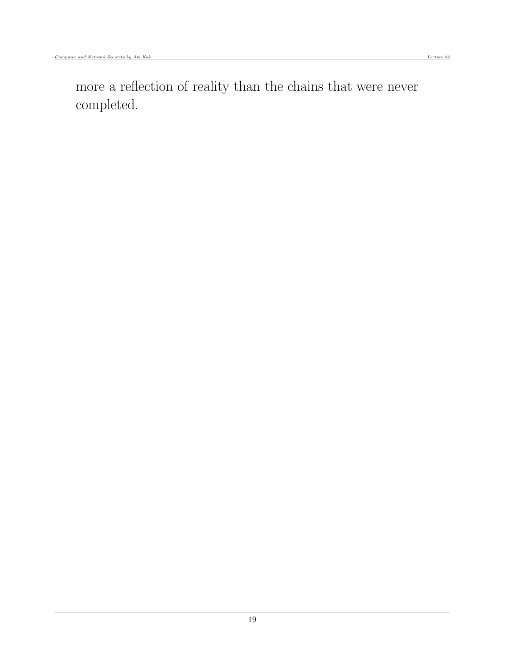more a reflection of reality than the chains that were never completed.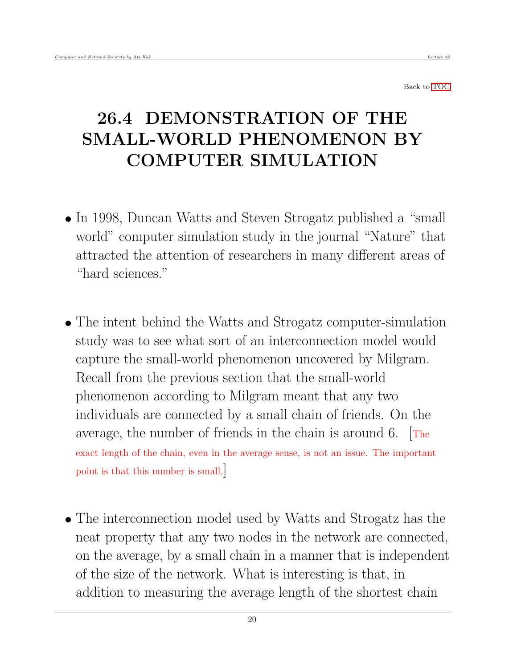<span id="page-19-0"></span>Back to [TOC](#page-1-0)

# 26.4 DEMONSTRATION OF THE SMALL-WORLD PHENOMENON BY COMPUTER SIMULATION

- In 1998, Duncan Watts and Steven Strogatz published a "small" world" computer simulation study in the journal "Nature" that attracted the attention of researchers in many different areas of "hard sciences."
- The intent behind the Watts and Strogatz computer-simulation study was to see what sort of an interconnection model would capture the small-world phenomenon uncovered by Milgram. Recall from the previous section that the small-world phenomenon according to Milgram meant that any two individuals are connected by a small chain of friends. On the average, the number of friends in the chain is around 6. [The exact length of the chain, even in the average sense, is not an issue. The important point is that this number is small.]
- The interconnection model used by Watts and Strogatz has the neat property that any two nodes in the network are connected, on the average, by a small chain in a manner that is independent of the size of the network. What is interesting is that, in addition to measuring the average length of the shortest chain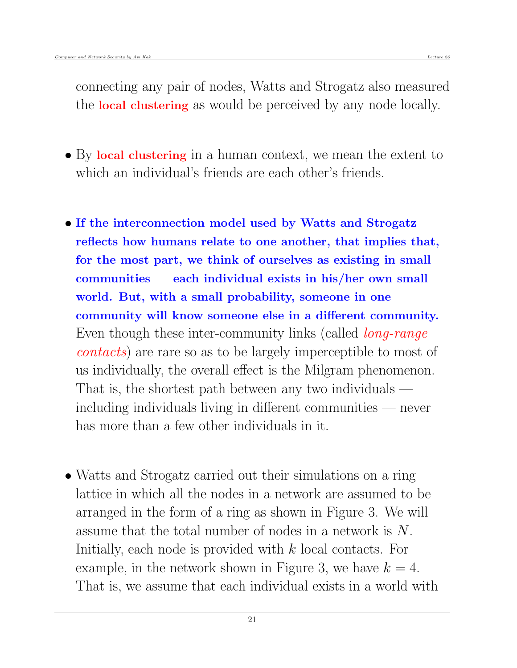connecting any pair of nodes, Watts and Strogatz also measured the **local clustering** as would be perceived by any node locally.

- By local clustering in a human context, we mean the extent to which an individual's friends are each other's friends.
- If the interconnection model used by Watts and Strogatz reflects how humans relate to one another, that implies that, for the most part, we think of ourselves as existing in small communities — each individual exists in his/her own small world. But, with a small probability, someone in one community will know someone else in a different community. Even though these inter-community links (called *long-range* contacts) are rare so as to be largely imperceptible to most of us individually, the overall effect is the Milgram phenomenon. That is, the shortest path between any two individuals including individuals living in different communities — never has more than a few other individuals in it.
- Watts and Strogatz carried out their simulations on a ring lattice in which all the nodes in a network are assumed to be arranged in the form of a ring as shown in Figure 3. We will assume that the total number of nodes in a network is N. Initially, each node is provided with  $k$  local contacts. For example, in the network shown in Figure 3, we have  $k = 4$ . That is, we assume that each individual exists in a world with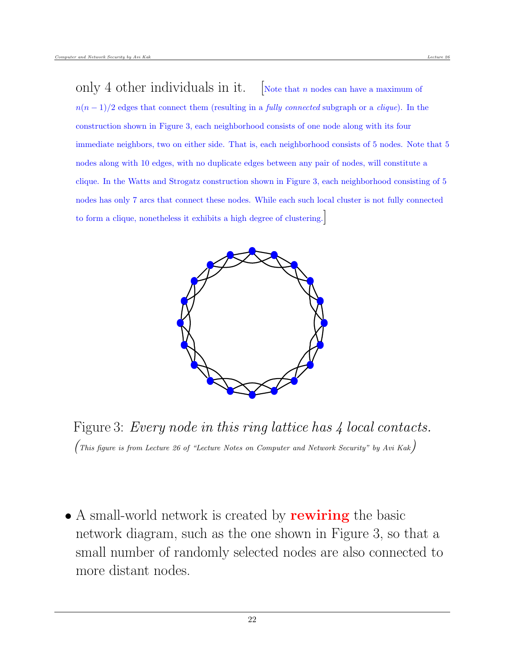only 4 other individuals in it. [Note that n nodes can have a maximum of  $n(n-1)/2$  edges that connect them (resulting in a *fully connected* subgraph or a *clique*). In the construction shown in Figure 3, each neighborhood consists of one node along with its four immediate neighbors, two on either side. That is, each neighborhood consists of 5 nodes. Note that 5 nodes along with 10 edges, with no duplicate edges between any pair of nodes, will constitute a clique. In the Watts and Strogatz construction shown in Figure 3, each neighborhood consisting of 5 nodes has only 7 arcs that connect these nodes. While each such local cluster is not fully connected to form a clique, nonetheless it exhibits a high degree of clustering.]



Figure 3: Every node in this ring lattice has 4 local contacts. (This figure is from Lecture 26 of "Lecture Notes on Computer and Network Security" by Avi Kak)

• A small-world network is created by **rewiring** the basic network diagram, such as the one shown in Figure 3, so that a small number of randomly selected nodes are also connected to more distant nodes.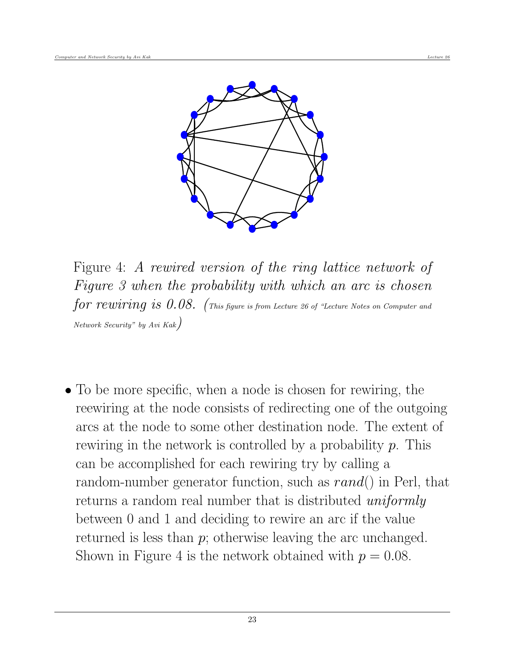

Figure 4: A rewired version of the ring lattice network of Figure 3 when the probability with which an arc is chosen  $for\; rewriting\;is\;0.08.\;($  This figure is from Lecture 26 of "Lecture Notes on Computer and Network Security" by Avi Kak)

 To be more specific, when a node is chosen for rewiring, the reewiring at the node consists of redirecting one of the outgoing arcs at the node to some other destination node. The extent of rewiring in the network is controlled by a probability  $p$ . This can be accomplished for each rewiring try by calling a random-number generator function, such as  $rand()$  in Perl, that returns a random real number that is distributed *uniformly* between 0 and 1 and deciding to rewire an arc if the value returned is less than p; otherwise leaving the arc unchanged. Shown in Figure 4 is the network obtained with  $p = 0.08$ .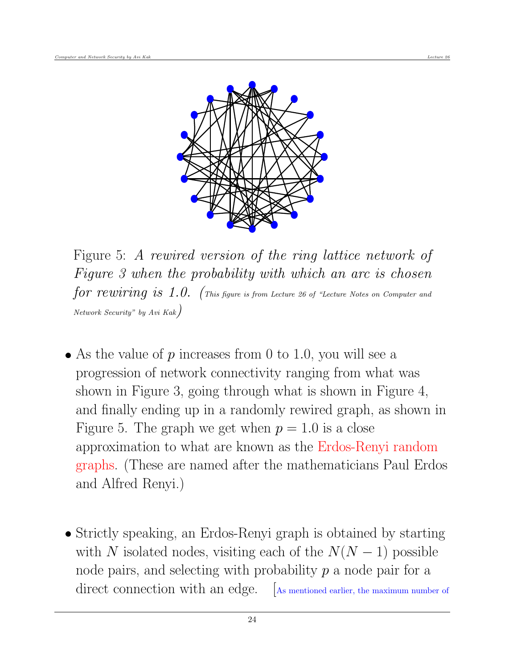

Figure 5: A rewired version of the ring lattice network of Figure 3 when the probability with which an arc is chosen for rewiring is 1.0. (This figure is from Lecture 26 of "Lecture Notes on Computer and Network Security" by Avi Kak)

- As the value of  $p$  increases from 0 to 1.0, you will see a progression of network connectivity ranging from what was shown in Figure 3, going through what is shown in Figure 4, and finally ending up in a randomly rewired graph, as shown in Figure 5. The graph we get when  $p = 1.0$  is a close approximation to what are known as the Erdos-Renyi random graphs. (These are named after the mathematicians Paul Erdos and Alfred Renyi.)
- Strictly speaking, an Erdos-Renyi graph is obtained by starting with N isolated nodes, visiting each of the  $N(N-1)$  possible node pairs, and selecting with probability p a node pair for a direct connection with an edge. [As mentioned earlier, the maximum number of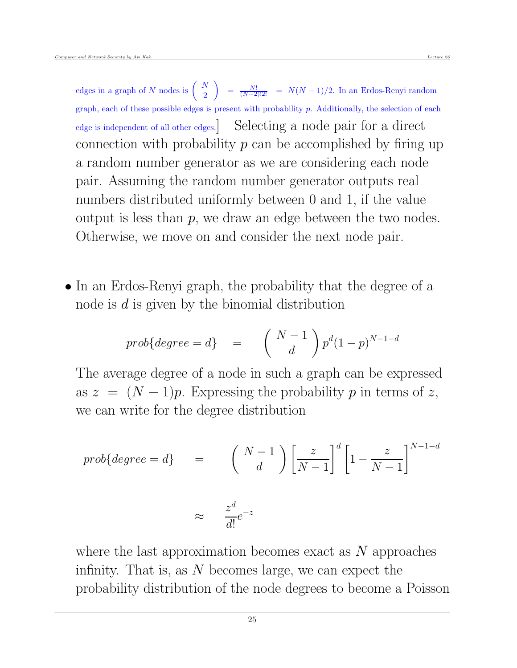edges in a graph of N nodes is  $\begin{pmatrix} N \\ 2 \end{pmatrix}$ 2  $\Big) = \frac{N!}{(N-2)!2!} = N(N-1)/2.$  In an Erdos-Renyi random graph, each of these possible edges is present with probability  $p$ . Additionally, the selection of each edge is independent of all other edges.] Selecting a node pair for a direct connection with probability  $p$  can be accomplished by firing up a random number generator as we are considering each node pair. Assuming the random number generator outputs real numbers distributed uniformly between 0 and 1, if the value output is less than  $p$ , we draw an edge between the two nodes. Otherwise, we move on and consider the next node pair.

• In an Erdos-Renyi graph, the probability that the degree of a node is  $d$  is given by the binomial distribution

$$
prob\{degree = d\} = {N-1 \choose d} p^d (1-p)^{N-1-d}
$$

The average degree of a node in such a graph can be expressed as  $z = (N-1)p$ . Expressing the probability p in terms of z, we can write for the degree distribution

$$
prob\{degree = d\} = \left(\begin{array}{c} N-1\\d\end{array}\right) \left[\frac{z}{N-1}\right]^d \left[1 - \frac{z}{N-1}\right]^{N-1-d}
$$

$$
\approx \frac{z^d}{d!}e^{-z}
$$

where the last approximation becomes exact as  $N$  approaches infinity. That is, as  $N$  becomes large, we can expect the probability distribution of the node degrees to become a Poisson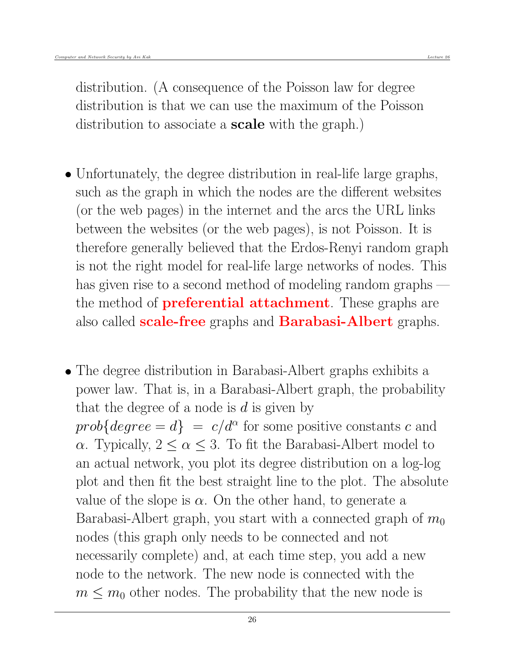distribution. (A consequence of the Poisson law for degree distribution is that we can use the maximum of the Poisson distribution to associate a **scale** with the graph.)

- Unfortunately, the degree distribution in real-life large graphs, such as the graph in which the nodes are the different websites (or the web pages) in the internet and the arcs the URL links between the websites (or the web pages), is not Poisson. It is therefore generally believed that the Erdos-Renyi random graph is not the right model for real-life large networks of nodes. This has given rise to a second method of modeling random graphs the method of **preferential attachment**. These graphs are also called **scale-free** graphs and **Barabasi-Albert** graphs.
- The degree distribution in Barabasi-Albert graphs exhibits a power law. That is, in a Barabasi-Albert graph, the probability that the degree of a node is  $d$  is given by  $prob\{degree = d\} = c/d^{\alpha}$  for some positive constants c and  $\alpha$ . Typically,  $2 \leq \alpha \leq 3$ . To fit the Barabasi-Albert model to an actual network, you plot its degree distribution on a log-log plot and then fit the best straight line to the plot. The absolute value of the slope is  $\alpha$ . On the other hand, to generate a Barabasi-Albert graph, you start with a connected graph of  $m_0$ nodes (this graph only needs to be connected and not necessarily complete) and, at each time step, you add a new node to the network. The new node is connected with the  $m \leq m_0$  other nodes. The probability that the new node is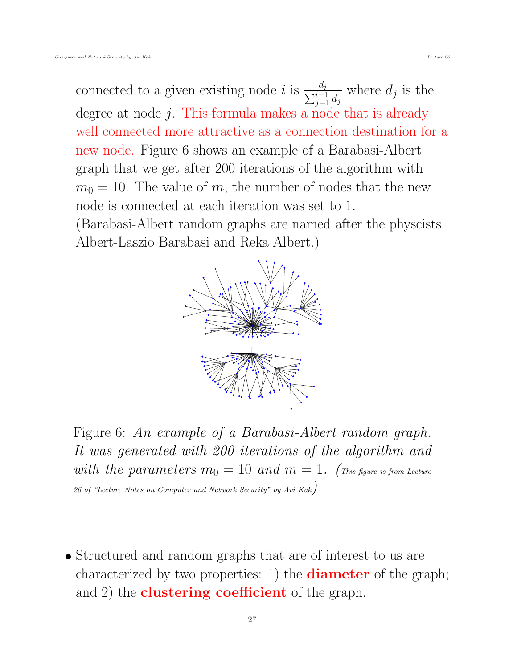connected to a given existing node *i* is  $\frac{d_i}{\sum_{i=1}^{i-1}}$  $\prod_{j=1}^{i-1} d_j$ where  $d_j$  is the degree at node  $j$ . This formula makes a node that is already well connected more attractive as a connection destination for a new node. Figure 6 shows an example of a Barabasi-Albert graph that we get after 200 iterations of the algorithm with  $m_0 = 10$ . The value of m, the number of nodes that the new node is connected at each iteration was set to 1. (Barabasi-Albert random graphs are named after the physcists Albert-Laszio Barabasi and Reka Albert.)



Figure 6: An example of a Barabasi-Albert random graph. It was generated with 200 iterations of the algorithm and with the parameters  $m_0 = 10$  and  $m = 1$ . (This figure is from Lecture 26 of "Lecture Notes on Computer and Network Security" by Avi Kak)

 Structured and random graphs that are of interest to us are characterized by two properties: 1) the **diameter** of the graph; and 2) the **clustering coefficient** of the graph.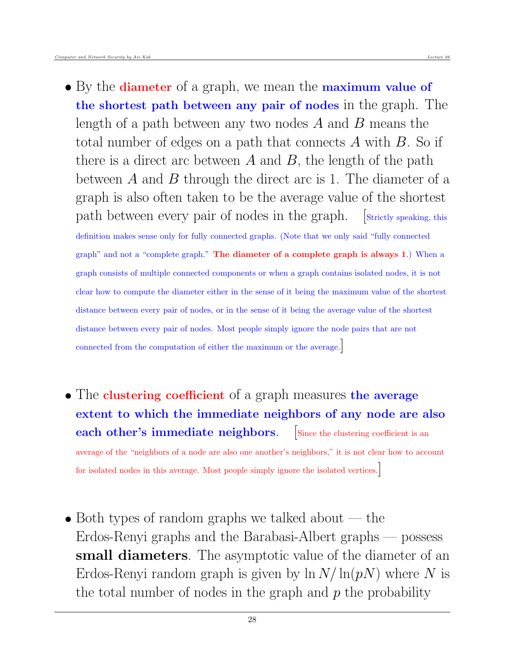- By the **diameter** of a graph, we mean the **maximum value of** the shortest path between any pair of nodes in the graph. The length of a path between any two nodes  $A$  and  $B$  means the total number of edges on a path that connects A with B. So if there is a direct arc between  $A$  and  $B$ , the length of the path between  $A$  and  $B$  through the direct arc is 1. The diameter of a graph is also often taken to be the average value of the shortest path between every pair of nodes in the graph. [Strictly speaking, this definition makes sense only for fully connected graphs. (Note that we only said "fully connected graph" and not a "complete graph." The diameter of a complete graph is always 1.) When a graph consists of multiple connected components or when a graph contains isolated nodes, it is not clear how to compute the diameter either in the sense of it being the maximum value of the shortest distance between every pair of nodes, or in the sense of it being the average value of the shortest distance between every pair of nodes. Most people simply ignore the node pairs that are not connected from the computation of either the maximum or the average.]
- The clustering coefficient of a graph measures the average extent to which the immediate neighbors of any node are also each other's immediate neighbors. Since the clustering coefficient is an average of the "neighbors of a node are also one another's neighbors," it is not clear how to account for isolated nodes in this average. Most people simply ignore the isolated vertices.]
- $\bullet$  Both types of random graphs we talked about the Erdos-Renyi graphs and the Barabasi-Albert graphs — possess **small diameters**. The asymptotic value of the diameter of an Erdos-Renyi random graph is given by  $\ln N / \ln(pN)$  where N is the total number of nodes in the graph and  $p$  the probability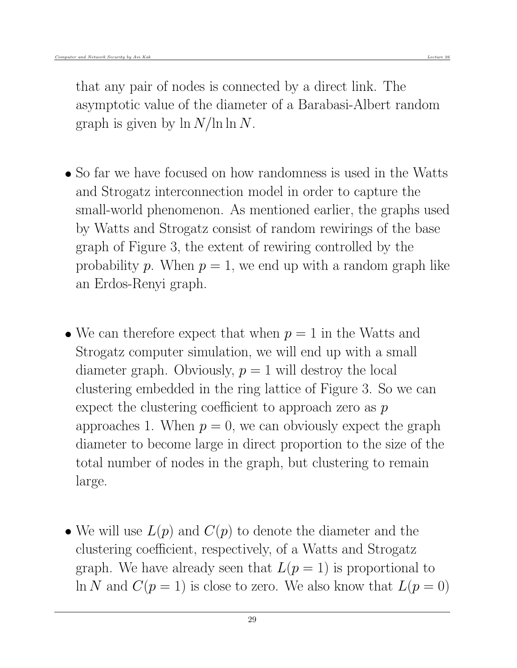- So far we have focused on how randomness is used in the Watts and Strogatz interconnection model in order to capture the small-world phenomenon. As mentioned earlier, the graphs used by Watts and Strogatz consist of random rewirings of the base graph of Figure 3, the extent of rewiring controlled by the probability p. When  $p = 1$ , we end up with a random graph like an Erdos-Renyi graph.
- We can therefore expect that when  $p = 1$  in the Watts and Strogatz computer simulation, we will end up with a small diameter graph. Obviously,  $p = 1$  will destroy the local clustering embedded in the ring lattice of Figure 3. So we can expect the clustering coefficient to approach zero as p approaches 1. When  $p = 0$ , we can obviously expect the graph diameter to become large in direct proportion to the size of the total number of nodes in the graph, but clustering to remain large.
- We will use  $L(p)$  and  $C(p)$  to denote the diameter and the clustering coefficient, respectively, of a Watts and Strogatz graph. We have already seen that  $L(p = 1)$  is proportional to ln N and  $C(p = 1)$  is close to zero. We also know that  $L(p = 0)$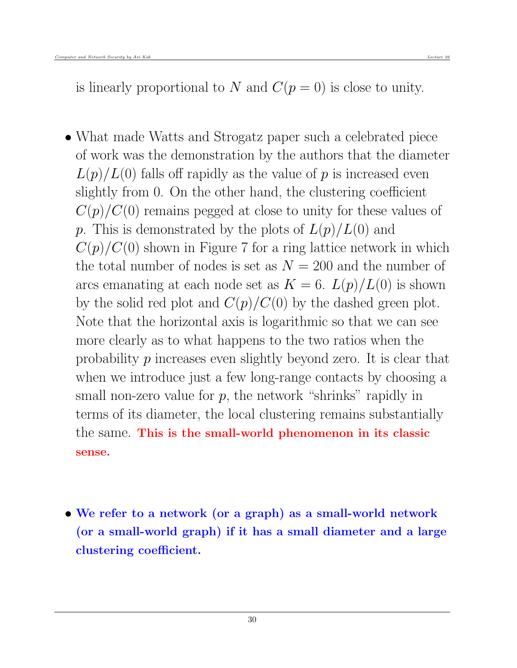is linearly proportional to N and  $C(p = 0)$  is close to unity.

- What made Watts and Strogatz paper such a celebrated piece of work was the demonstration by the authors that the diameter  $L(p)/L(0)$  falls off rapidly as the value of p is increased even slightly from 0. On the other hand, the clustering coefficient  $C(p)/C(0)$  remains pegged at close to unity for these values of p. This is demonstrated by the plots of  $L(p)/L(0)$  and  $C(p)/C(0)$  shown in Figure 7 for a ring lattice network in which the total number of nodes is set as  $N = 200$  and the number of arcs emanating at each node set as  $K = 6$ .  $L(p)/L(0)$  is shown by the solid red plot and  $C(p)/C(0)$  by the dashed green plot. Note that the horizontal axis is logarithmic so that we can see more clearly as to what happens to the two ratios when the probability p increases even slightly beyond zero. It is clear that when we introduce just a few long-range contacts by choosing a small non-zero value for  $p$ , the network "shrinks" rapidly in terms of its diameter, the local clustering remains substantially the same. This is the small-world phenomenon in its classic sense.
- We refer to a network (or a graph) as a small-world network (or a small-world graph) if it has a small diameter and a large clustering coefficient.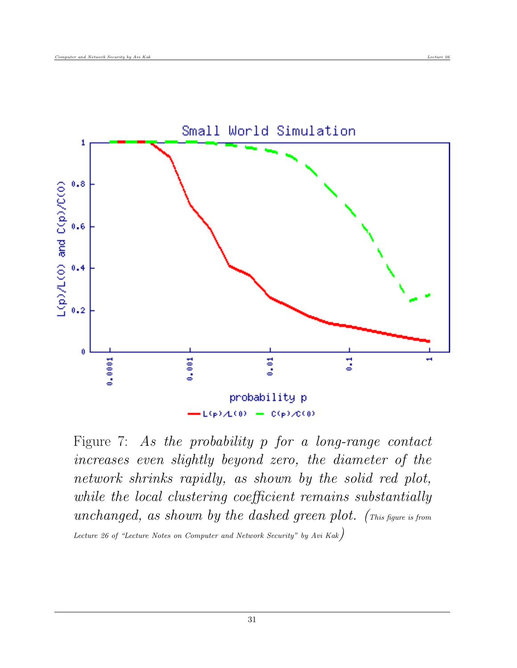

Figure 7: As the probability p for a long-range contact increases even slightly beyond zero, the diameter of the network shrinks rapidly, as shown by the solid red plot, while the local clustering coefficient remains substantially unchanged, as shown by the dashed green plot. (This figure is from Lecture 26 of "Lecture Notes on Computer and Network Security" by Avi Kak)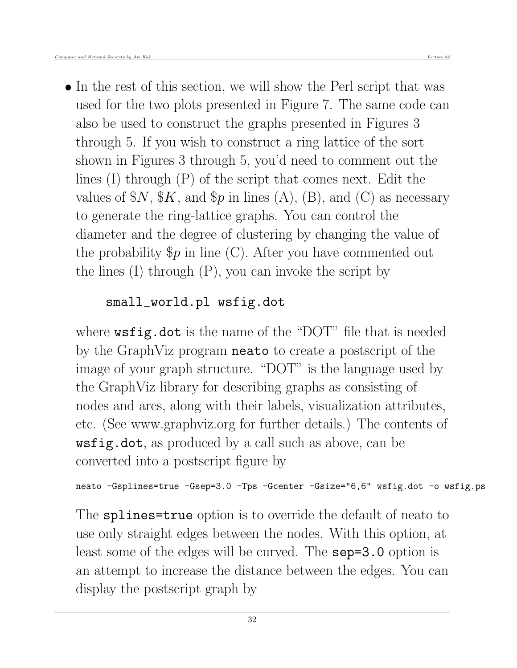• In the rest of this section, we will show the Perl script that was used for the two plots presented in Figure 7. The same code can also be used to construct the graphs presented in Figures 3 through 5. If you wish to construct a ring lattice of the sort shown in Figures 3 through 5, you'd need to comment out the lines (I) through (P) of the script that comes next. Edit the values of  $N$ ,  $K$ , and  $p$  in lines  $(A)$ ,  $(B)$ , and  $(C)$  as necessary to generate the ring-lattice graphs. You can control the diameter and the degree of clustering by changing the value of the probability  $\wp$  in line (C). After you have commented out the lines  $(I)$  through  $(P)$ , you can invoke the script by

## small\_world.pl wsfig.dot

where  $\texttt{wsfig.dot}$  is the name of the "DOT" file that is needed by the GraphViz program neato to create a postscript of the image of your graph structure. "DOT" is the language used by the GraphViz library for describing graphs as consisting of nodes and arcs, along with their labels, visualization attributes, etc. (See www.graphviz.org for further details.) The contents of wsfig.dot, as produced by a call such as above, can be converted into a postscript figure by

### neato -Gsplines=true -Gsep=3.0 -Tps -Gcenter -Gsize="6,6" wsfig.dot -o wsfig.ps

The **splines=true** option is to override the default of neato to use only straight edges between the nodes. With this option, at least some of the edges will be curved. The **sep=3.0** option is an attempt to increase the distance between the edges. You can display the postscript graph by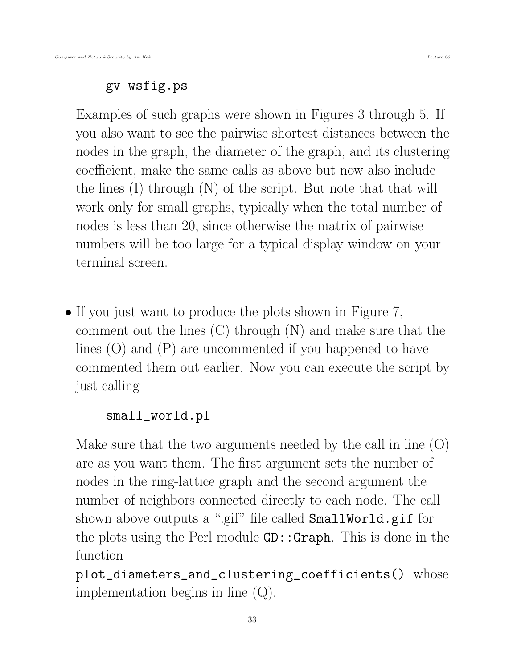### gv wsfig.ps

Examples of such graphs were shown in Figures 3 through 5. If you also want to see the pairwise shortest distances between the nodes in the graph, the diameter of the graph, and its clustering coefficient, make the same calls as above but now also include the lines (I) through (N) of the script. But note that that will work only for small graphs, typically when the total number of nodes is less than 20, since otherwise the matrix of pairwise numbers will be too large for a typical display window on your terminal screen.

• If you just want to produce the plots shown in Figure 7, comment out the lines (C) through (N) and make sure that the lines (O) and (P) are uncommented if you happened to have commented them out earlier. Now you can execute the script by just calling

### small\_world.pl

Make sure that the two arguments needed by the call in line (O) are as you want them. The first argument sets the number of nodes in the ring-lattice graph and the second argument the number of neighbors connected directly to each node. The call shown above outputs a ".gif" file called **SmallWorld.gif** for the plots using the Perl module  $GD$ :  $Graph$ . This is done in the function

plot\_diameters\_and\_clustering\_coefficients() whose implementation begins in line (Q).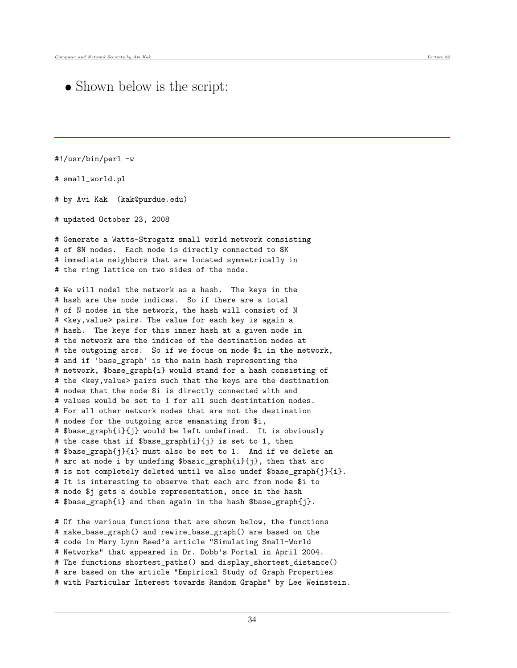#### • Shown below is the script:

#!/usr/bin/perl -w

# small\_world.pl

# by Avi Kak (kak@purdue.edu)

# updated October 23, 2008

# Generate a Watts-Strogatz small world network consisting # of \$N nodes. Each node is directly connected to \$K # immediate neighbors that are located symmetrically in # the ring lattice on two sides of the node.

# We will model the network as a hash. The keys in the # hash are the node indices. So if there are a total # of N nodes in the network, the hash will consist of N # <key, value> pairs. The value for each key is again a # hash. The keys for this inner hash at a given node in # the network are the indices of the destination nodes at # the outgoing arcs. So if we focus on node \$i in the network, # and if 'base\_graph' is the main hash representing the # network, \$base\_graph{i} would stand for a hash consisting of # the <key, value> pairs such that the keys are the destination # nodes that the node \$i is directly connected with and # values would be set to 1 for all such destintation nodes. # For all other network nodes that are not the destination # nodes for the outgoing arcs emanating from \$i, # \$base\_graph{i}{j} would be left undefined. It is obviously # the case that if \$base\_graph{i}{j} is set to 1, then # \$base\_graph{j}{i} must also be set to 1. And if we delete an # arc at node i by undefing \$basic\_graph{i}{j}, then that arc # is not completely deleted until we also undef \$base\_graph{j}{i}. # It is interesting to observe that each arc from node \$i to # node \$j gets a double representation, once in the hash # \$base\_graph{i} and then again in the hash \$base\_graph{j}.

# Of the various functions that are shown below, the functions # make\_base\_graph() and rewire\_base\_graph() are based on the # code in Mary Lynn Reed's article "Simulating Small-World # Networks" that appeared in Dr. Dobb's Portal in April 2004. # The functions shortest\_paths() and display\_shortest\_distance() # are based on the article "Empirical Study of Graph Properties # with Particular Interest towards Random Graphs" by Lee Weinstein.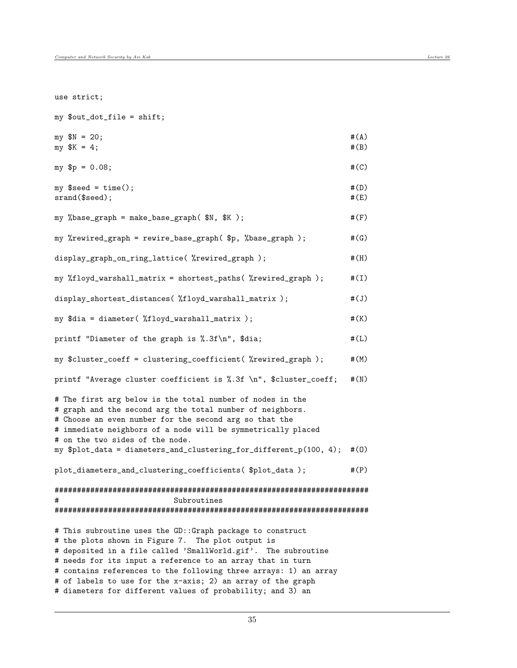```
use strict;
my $out_dot_file = shift;
my \Re N = 20; \# (A)my K = 4; \#(B)my \text{sp} = 0.08; \text{#}(C)my \text{Speed} = \text{time}(); \text{#}(D)\text{grand}(\$ \text{seed}); \text{#}(E)my %base_graph = make_base_graph(\text{N}, \text{K}); \text{H}(F)my %rewired_graph = rewire_base_graph(\wp, %base_graph); \#(G)display_graph_on_ring_lattice( %rewired_graph ); \#(H)
my %floyd_warshall_matrix = shortest_paths( %rewired_graph ); #(I)
display_shortest_distances( %floyd_warshall_matrix ); \#(J)my $dia = diameter( %floyd_warshall_matrix ); \#(K)printf "Diameter of the graph is %.3f\n", $dia; \#(L)my $cluster_coeff = clustering_coefficient( %rewired_graph ); #(M)
printf "Average cluster coefficient is %.3f \n", $cluster_coeff; #(N)
# The first arg below is the total number of nodes in the
# graph and the second arg the total number of neighbors.
# Choose an even number for the second arg so that the
# immediate neighbors of a node will be symmetrically placed
# on the two sides of the node.
my $plot_data = diameters_and_clustering_for_different_p(100, 4); #(O)
plot_diameters_and_clustering_coefficients( $plot_data ); #(P)
#######################################################################
# Subroutines
#######################################################################
# This subroutine uses the GD::Graph package to construct
# the plots shown in Figure 7. The plot output is
# deposited in a file called 'SmallWorld.gif'. The subroutine
# needs for its input a reference to an array that in turn
# contains references to the following three arrays: 1) an array
# of labels to use for the x-axis; 2) an array of the graph
```
# diameters for different values of probability; and 3) an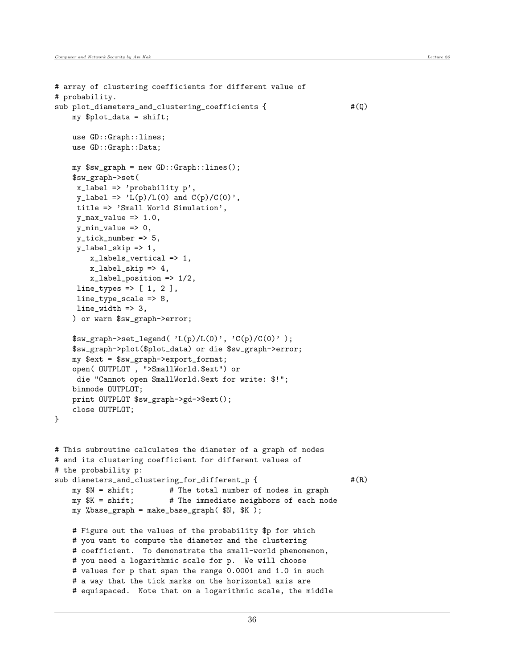```
# array of clustering coefficients for different value of
# probability.
sub plot_diameters_and_clustering_coefficients { \#(\mathbb{Q})my $plot_data = shift;
   use GD::Graph::lines;
   use GD::Graph::Data;
   my $sw_graph = new GD::Graph::lines();
   $sw_graph->set(
    x<sup>-</sup>abel => 'probability p',
    y<sup>-</sup>label => (L(p)/L(0)) and C(p)/C(0),
    title => 'Small World Simulation',
    y_max_value => 1.0,
    y_{\text{min_value}} => 0,
    y_ttick_number => 5,
    y_label_skip => 1,
       x_labels_vertical => 1,
       x<sup>1</sup>abel_skip => 4,
       x<sup>1/2</sup>,
    line_types => [ 1, 2 ],
    line_type_scale => 8,
    line_width => 3,
    ) or warn $sw_graph->error;
    $sw\_graph->set\_legend('L(p)/L(0)', 'C(p)/C(0)');
   $sw_graph->plot($plot_data) or die $sw_graph->error;
   my $ext = $sw_graph->export_format;
   open( OUTPLOT , ">SmallWorld.$ext") or
    die "Cannot open SmallWorld.$ext for write: $!";
   binmode OUTPLOT;
   print OUTPLOT $sw_graph->gd->$ext();
   close OUTPLOT;
}
# This subroutine calculates the diameter of a graph of nodes
# and its clustering coefficient for different values of
# the probability p:
sub diameters_and_clustering_for_different_p { \#(R)my $N = shift; # The total number of nodes in graph
   my $K = shift; # The immediate neighbors of each node
   my %base_graph = make_base_graph( $N, $K );
   # Figure out the values of the probability $p for which
   # you want to compute the diameter and the clustering
   # coefficient. To demonstrate the small-world phenomenon,
   # you need a logarithmic scale for p. We will choose
   # values for p that span the range 0.0001 and 1.0 in such
   # a way that the tick marks on the horizontal axis are
   # equispaced. Note that on a logarithmic scale, the middle
```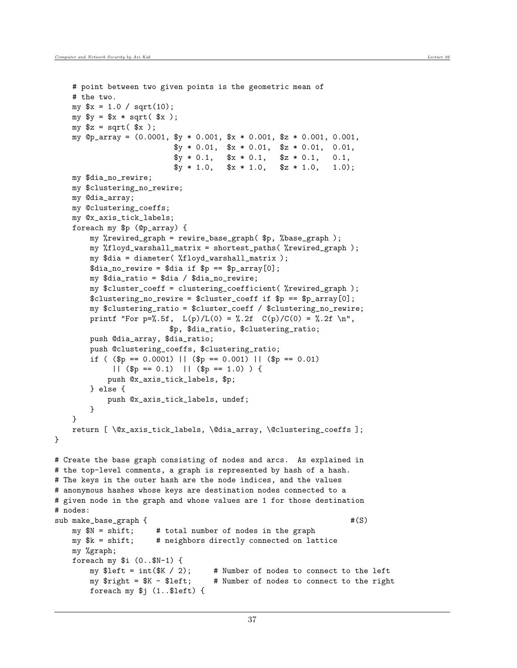```
# point between two given points is the geometric mean of
   # the two.
   my x = 1.0 / sqrt(10);
   my y = x * sqrt(\frac{2}{x});my z = sqrt( x);
   my @p_array = (0.0001, $y * 0.001, $x * 0.001, $z * 0.001, 0.001,
                          y * 0.01, x * 0.01, z * 0.01, 0.01,
                          y * 0.1, x * 0.1, z * 0.1, 0.1,
                          y * 1.0, \quad x * 1.0, \quad x * 1.0, \quad 1.0;my $dia_no_rewire;
   my $clustering_no_rewire;
   my @dia_array;
   my @clustering_coeffs;
   my @x_axis_tick_labels;
   foreach my $p (@p_array) {
       my %rewired_graph = rewire_base_graph( $p, %base_graph );
       my %floyd_warshall_matrix = shortest_paths( %rewired_graph );
       my $dia = diameter( %floyd_warshall_matrix );
       \deltadia_no_rewire = \deltadia if \phi == \phi<sub>2</sub>array[0];
       my $dia_ratio = $dia / $dia_no_rewire;
       my $cluster_coeff = clustering_coefficient( %rewired_graph );
       $clustering_no_rewire = $cluster_coeff if $p == $p_array[0];
       my $clustering_ratio = $cluster_coeff / $clustering_no_rewire;
       printf "For p=\%, 5f, L(p)/L(0) = %2f C(p)/C(0) = %2f \nvert h'',
                         $p, $dia_ratio, $clustering_ratio;
       push @dia_array, $dia_ratio;
       push @clustering_coeffs, $clustering_ratio;
       if ( ($p == 0.0001) || ($p == 0.001) || ($p == 0.01)|| (\$p == 0.1) || (\$p == 1.0) ) {
           push @x_axis_tick_labels, $p;
       } else {
           push @x_axis_tick_labels, undef;
       }
   }
   return [ \@x_axis_tick_labels, \@dia_array, \@clustering_coeffs ];
}
# Create the base graph consisting of nodes and arcs. As explained in
# the top-level comments, a graph is represented by hash of a hash.
# The keys in the outer hash are the node indices, and the values
# anonymous hashes whose keys are destination nodes connected to a
# given node in the graph and whose values are 1 for those destination
# nodes:
sub make_base_graph { \#(S)my $N = shift; # total number of nodes in the graph
   my $k = shift; # neighbors directly connected on lattice
   my %graph;
   foreach my $i (0..$N-1) {
       my $left = int($K / 2); # Number of nodes to connect to the left
       my $right = $K - $left; # Number of nodes to connect to the right
       foreach my $j (1..$left) {
```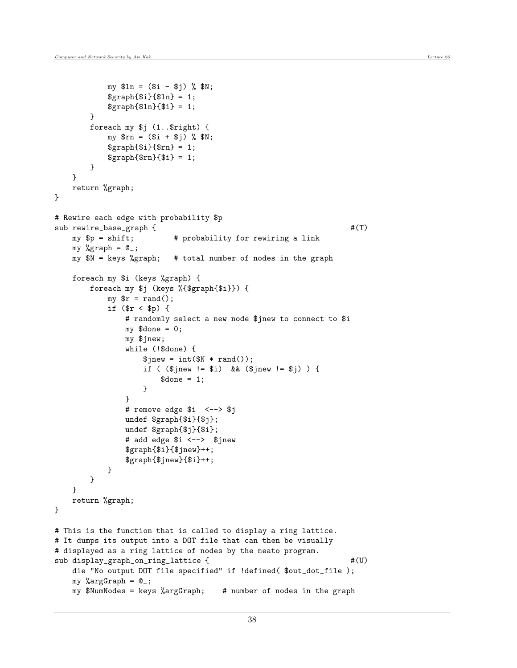```
my \text{\$1n = (\$i - \$j) % } \text{\$N};$graph{1}{) { = 1;$graph{$ln}{$i} = 1;
       }
       foreach my $j (1..$right) {
           my $rn = ($i + $j) % $N;
           $graph{$i}{$rn} = 1;
           $graph{$rn}{$$i} = 1;}
   }
   return %graph;
}
# Rewire each edge with probability $p
sub rewire_base_graph { #(T)my $p = shift; # probability for rewiring a link
   my %graph = @;
   my $N = keys %graph; # total number of nodes in the graph
   foreach my $i (keys %graph) {
       foreach my $j (keys %{$graph{$i}}) {
           my r = \text{rand}();
           if ($r < $p) {
               # randomly select a new node $jnew to connect to $i
               my \text{\%done} = 0;
               my $jnew;
               while (!$done) {
                   $jnew = int($N * rand());
                   if ( ($jnew != $i) && ($jnew != $j) ) {
                       \text{\$done} = 1;}
               }
               # remove edge $i <--> $j
               undef $graph{$i}{$j};
               undef $graph{$j}{$i};
               # add edge $i <--> $jnew
               $graph{$i}{$jnew}++;
               $graph{$jnew}{$i}++;
           }
       }
   }
   return %graph;
}
# This is the function that is called to display a ring lattice.
# It dumps its output into a DOT file that can then be visually
# displayed as a ring lattice of nodes by the neato program.
sub display_graph_on_ring_lattice { \#(U)die "No output DOT file specified" if !defined( $out_dot_file );
   my \%argGraph = @;
   my $NumNodes = keys %argGraph; # number of nodes in the graph
```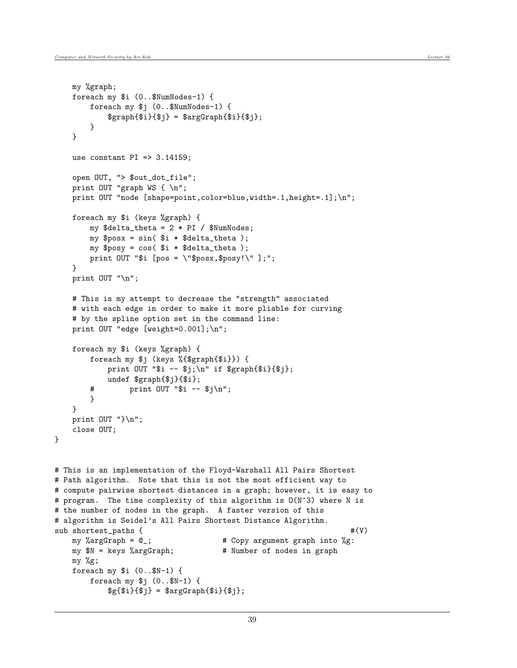```
my %graph;
   foreach my $i (0..$NumNodes-1) {
       foreach my $j (0..$NumNodes-1) {
           $graph{}
   }
   use constant PI => 3.14159;
   open OUT, "> $out_dot_file";
   print OUT "graph WS { \n";
   print OUT "node [shape=point,color=blue,width=.1,height=.1];\n";
   foreach my $i (keys %graph) {
       my $delta_t = 2 * PI / $NumNodes;my $posx = sin( $i * $delta_1my $posy = cos( $i * $delta\_t \text{heta } );print OUT "$i [pos = \{\"$posx,$posy!\{\' ];";
   }
   print OUT "\n";
   # This is my attempt to decrease the "strength" associated
   # with each edge in order to make it more pliable for curving
   # by the spline option set in the command line:
   print OUT "edge [weight=0.001];\n";
   foreach my $i (keys %graph) {
       foreach my $j (keys %{$graph{$i}}) {
           print OUT "i = - j; \nmid if \sqrt{3}i \sqrt{3}j;
           undef $graph{$j}{$i};
       # print OUT "$i -- $j\n";
       }
   }
   print OUT "}\n";
   close OUT;
}
# This is an implementation of the Floyd-Warshall All Pairs Shortest
# Path algorithm. Note that this is not the most efficient way to
# compute pairwise shortest distances in a graph; however, it is easy to
# program. The time complexity of this algorithm is O(N^3) where N is
# the number of nodes in the graph. A faster version of this
# algorithm is Seidel's All Pairs Shortest Distance Algorithm.
sub shortest_paths { \#(V)my %argGraph = @_; # Copy argument graph into %g:
   my $N = keys %argGraph; # Number of nodes in graph
   my %g;
   foreach my $i (0..$N-1) {
       foreach my $j (0..$N-1) {
           \{[$g{\{$i}{\{ $j} = $argGraph{\{$i}{\{ $j};
```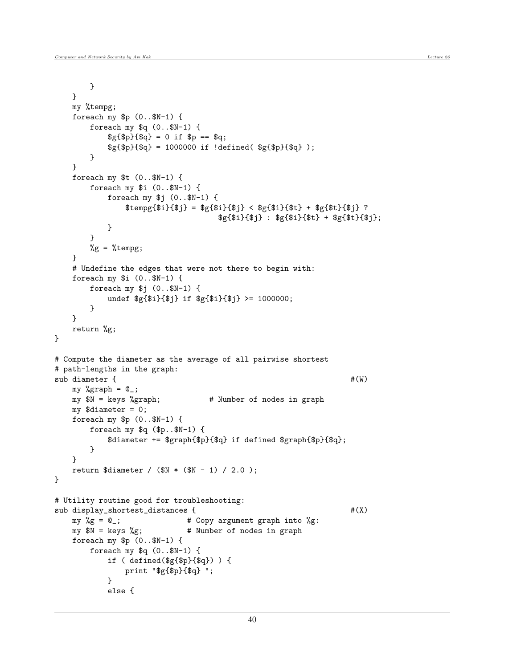```
}
   }
   my %tempg;
   foreach my $p (0..$N-1) {
       foreach my $q (0..$N-1) {
           \{p\}_{\{q\}} = 0 if p = = \{q\};
           $g{$p}{$q} = 1000000 if !defined( $g{$p}{$q} );
       }
   }
   foreach my $t (0..$N-1) {
       foreach my $i (0..$N-1) {
           foreach my $j (0..$N-1) {
               $tempg{$i}{$j} = $g{$i}{$j} < $g{$i}{$t} + $g{$t}{$j} ?
                                   $g{$i}{$j} : $g{$i}{$t} + $g{$t}{$j};
           }
       }
       \%g = \%tempg;}
   # Undefine the edges that were not there to begin with:
   foreach my $i (0..$N-1) {
       foreach my $j (0..$N-1) {
           undef $g{$i}{$j} if $g{$i}{$j} >= 1000000;
       }
   }
   return %g;
}
# Compute the diameter as the average of all pairwise shortest
# path-lengths in the graph:
sub diameter { \#(W)my %graph = @;
   my $N = keys %graph; # Number of nodes in graph
   my $diameter = 0;
   foreach my $p (0..$N-1) {
       foreach my $q ($p..$N-1) {
           $diameter += $graph{$p}{$q} if defined $graph{$p}{$q};
       }
   }
   return $diameter / ($N * ($N - 1) / 2.0 );
}
# Utility routine good for troubleshooting:
sub display_shortest_distances { #(X)my \%g = \mathbb{C}; \qquad \qquad \# Copy argument graph into \%g:
   my N = \text{keys } %g; # Number of nodes in graph
   foreach my p(0..$N-1) {
       foreach my $q (0..$N-1) {
           if ( defined($g{$p}{$q}) ) {
               print "$g{$p}{$q} ";
           }
           else {
```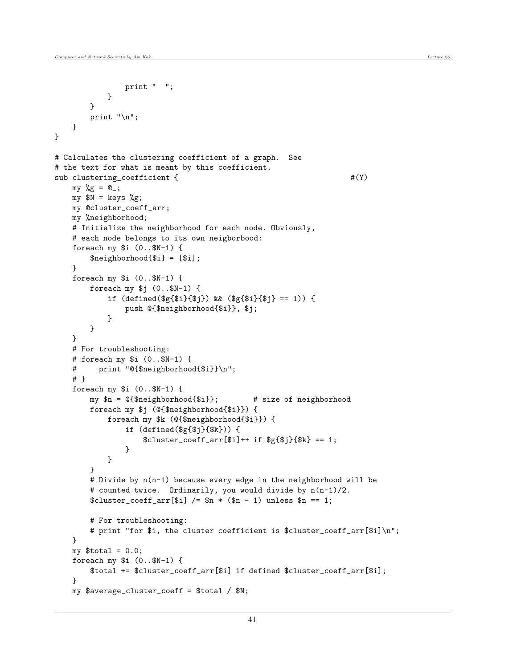```
print " ";
           }
        }
       print "\n";
   }
}
# Calculates the clustering coefficient of a graph. See
# the text for what is meant by this coefficient.
sub clustering_coefficient { #(Y)my \%g = \mathbb{Q}_;
   my N = \text{keys } \%g;my @cluster_coeff_arr;
   my %neighborhood;
    # Initialize the neighborhood for each node. Obviously,
    # each node belongs to its own neigborbood:
   foreach my $i (0..$N-1) {
        $neighbourhood$i} = [$i];}
    foreach my $i (0..$N-1) {
        foreach my $j (0..$N-1) {
            if (defined($g{$i}{$j}) && ($g{$i}{$j} == 1)) {
               push @{$neighborhood{$i}}, $j;
           }
        }
    }
    # For troubleshooting:
    # foreach my $i (0..$N-1) {
    # print "@{$neighborhood{$i}}\n";
    # }
    foreach my $i (0..$N-1) {
        my $n = @{$neighborhood{$i}}; # size of neighborhood
        foreach my $j (@{$neighborhood{$i}}) {
           foreach my $k (@{$neighborhood{$i}}) {
               if (defined($g{$j}{$k})) {
                    $cluster\_coeff_arr[$i]++ if $g${$j$}{$i$}}
           }
        }
        # Divide by n(n-1) because every edge in the neighborhood will be
        # counted twice. Ordinarily, you would divide by n(n-1)/2.
        \text{\$cluster\_coeff_arr[\$i] /= \text{\$n * ($n - 1)$ unless $n == 1$};# For troubleshooting:
        # print "for $i, the cluster coefficient is $cluster_coeff_arr[$i]\n";
   }
   my $total = 0.0;foreach my $i (0..$N-1) {
        $total += $cluster_coeff_arr[$i] if defined $cluster_coeff_arr[$i];
    }
   my $average_cluster_coeff = $total / $N;
```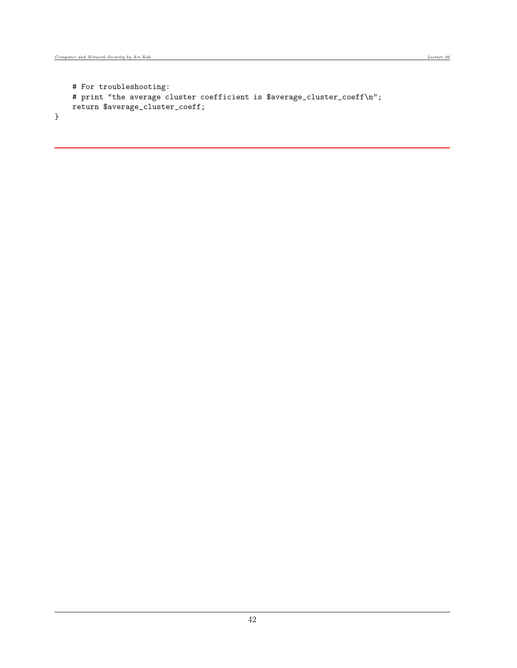```
# For troubleshooting:
   # print "the average cluster coefficient is $average_cluster_coeff\n";
   return $average_cluster_coeff;
}
```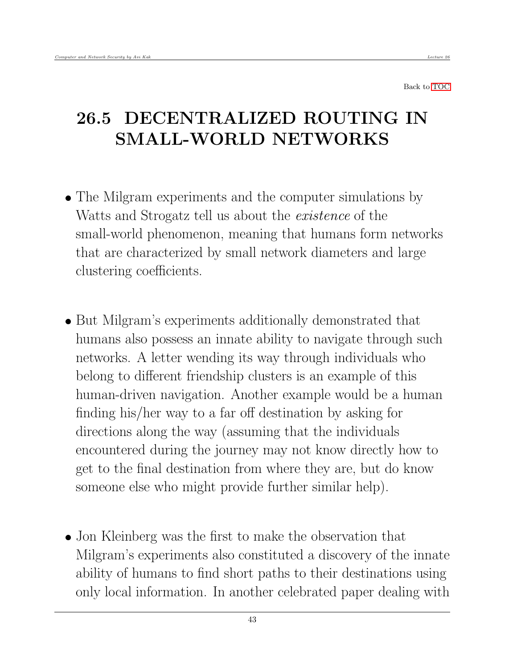Back to [TOC](#page-1-0)

## 26.5 DECENTRALIZED ROUTING IN SMALL-WORLD NETWORKS

- The Milgram experiments and the computer simulations by Watts and Strogatz tell us about the existence of the small-world phenomenon, meaning that humans form networks that are characterized by small network diameters and large clustering coefficients.
- But Milgram's experiments additionally demonstrated that humans also possess an innate ability to navigate through such networks. A letter wending its way through individuals who belong to different friendship clusters is an example of this human-driven navigation. Another example would be a human finding his/her way to a far off destination by asking for directions along the way (assuming that the individuals encountered during the journey may not know directly how to get to the final destination from where they are, but do know someone else who might provide further similar help).
- Jon Kleinberg was the first to make the observation that Milgram's experiments also constituted a discovery of the innate ability of humans to find short paths to their destinations using only local information. In another celebrated paper dealing with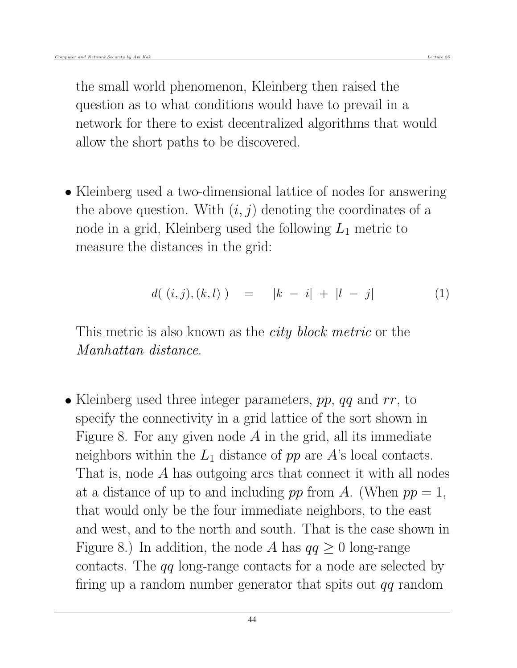the small world phenomenon, Kleinberg then raised the question as to what conditions would have to prevail in a network for there to exist decentralized algorithms that would allow the short paths to be discovered.

• Kleinberg used a two-dimensional lattice of nodes for answering the above question. With  $(i, j)$  denoting the coordinates of a node in a grid, Kleinberg used the following  $L_1$  metric to measure the distances in the grid:

$$
d((i,j),(k,l)) = |k - i| + |l - j| \tag{1}
$$

This metric is also known as the *city block metric* or the Manhattan distance.

• Kleinberg used three integer parameters,  $pp$ ,  $qq$  and  $rr$ , to specify the connectivity in a grid lattice of the sort shown in Figure 8. For any given node  $A$  in the grid, all its immediate neighbors within the  $L_1$  distance of pp are A's local contacts. That is, node A has outgoing arcs that connect it with all nodes at a distance of up to and including pp from A. (When  $pp = 1$ , that would only be the four immediate neighbors, to the east and west, and to the north and south. That is the case shown in Figure 8.) In addition, the node A has  $qq \geq 0$  long-range contacts. The qq long-range contacts for a node are selected by firing up a random number generator that spits out  $qq$  random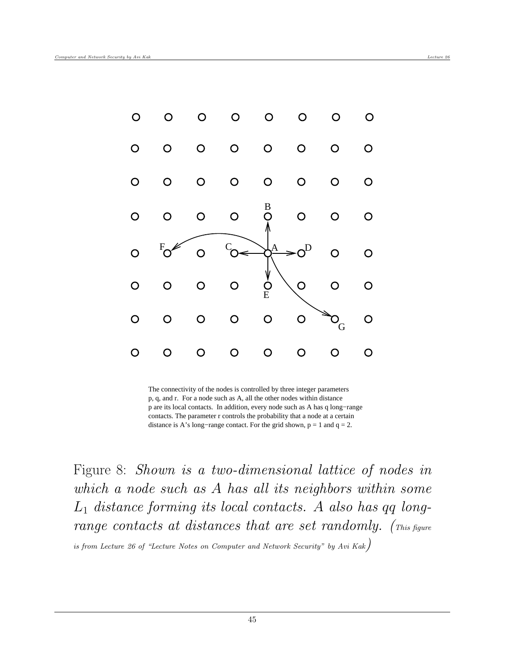

p, q, and r. For a node such as A, all the other nodes within distance p are its local contacts. In addition, every node such as A has q long−range contacts. The parameter r controls the probability that a node at a certain distance is A's long-range contact. For the grid shown,  $p = 1$  and  $q = 2$ . The connectivity of the nodes is controlled by three integer parameters

Figure 8: Shown is a two-dimensional lattice of nodes in which a node such as A has all its neighbors within some  $L_1$  distance forming its local contacts. A also has gq longrange contacts at distances that are set randomly. (This figure

is from Lecture 26 of "Lecture Notes on Computer and Network Security" by Avi Kak)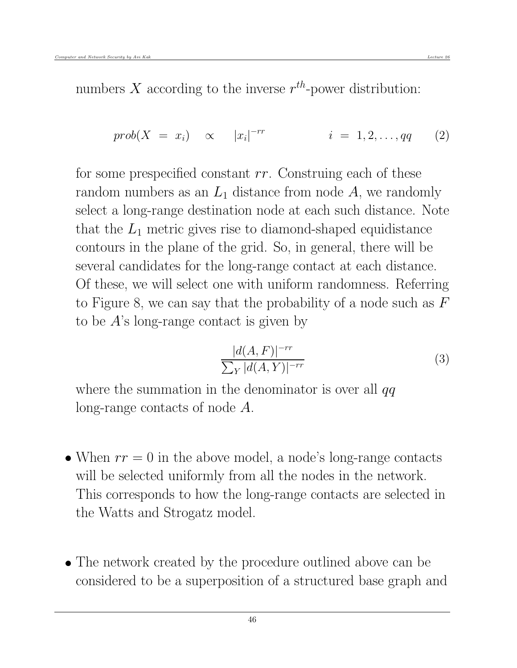numbers X according to the inverse  $r^{th}$ -power distribution:

$$
prob(X = x_i) \quad \propto \quad |x_i|^{-rr} \qquad i = 1, 2, \dots, qq \qquad (2)
$$

for some prespecified constant rr. Construing each of these random numbers as an  $L_1$  distance from node A, we randomly select a long-range destination node at each such distance. Note that the  $L_1$  metric gives rise to diamond-shaped equidistance contours in the plane of the grid. So, in general, there will be several candidates for the long-range contact at each distance. Of these, we will select one with uniform randomness. Referring to Figure 8, we can say that the probability of a node such as F to be  $A$ 's long-range contact is given by

$$
\frac{|d(A,F)|^{-rr}}{\sum_{Y} |d(A,Y)|^{-rr}}\tag{3}
$$

where the summation in the denominator is over all  $qq$ long-range contacts of node A.

- When  $rr = 0$  in the above model, a node's long-range contacts will be selected uniformly from all the nodes in the network. This corresponds to how the long-range contacts are selected in the Watts and Strogatz model.
- The network created by the procedure outlined above can be considered to be a superposition of a structured base graph and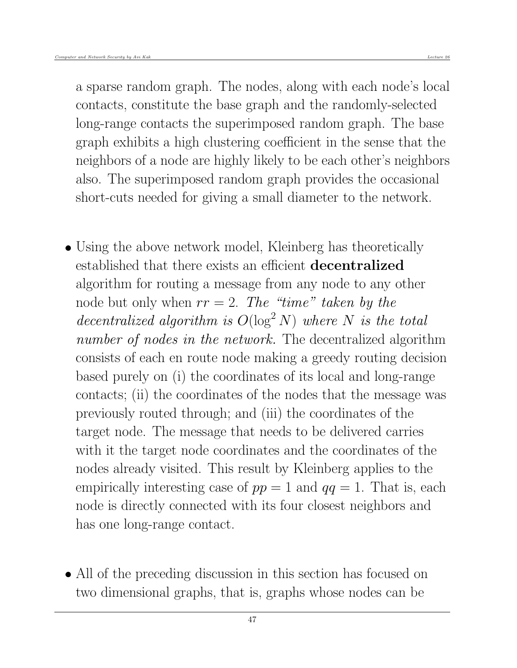a sparse random graph. The nodes, along with each node's local contacts, constitute the base graph and the randomly-selected long-range contacts the superimposed random graph. The base graph exhibits a high clustering coefficient in the sense that the neighbors of a node are highly likely to be each other's neighbors

- also. The superimposed random graph provides the occasional short-cuts needed for giving a small diameter to the network.
- Using the above network model, Kleinberg has theoretically established that there exists an efficient decentralized algorithm for routing a message from any node to any other node but only when  $rr = 2$ . The "time" taken by the decentralized algorithm is  $O(\log^2 N)$  where N is the total number of nodes in the network. The decentralized algorithm consists of each en route node making a greedy routing decision based purely on (i) the coordinates of its local and long-range contacts; (ii) the coordinates of the nodes that the message was previously routed through; and (iii) the coordinates of the target node. The message that needs to be delivered carries with it the target node coordinates and the coordinates of the nodes already visited. This result by Kleinberg applies to the empirically interesting case of  $pp = 1$  and  $qq = 1$ . That is, each node is directly connected with its four closest neighbors and has one long-range contact.
- All of the preceding discussion in this section has focused on two dimensional graphs, that is, graphs whose nodes can be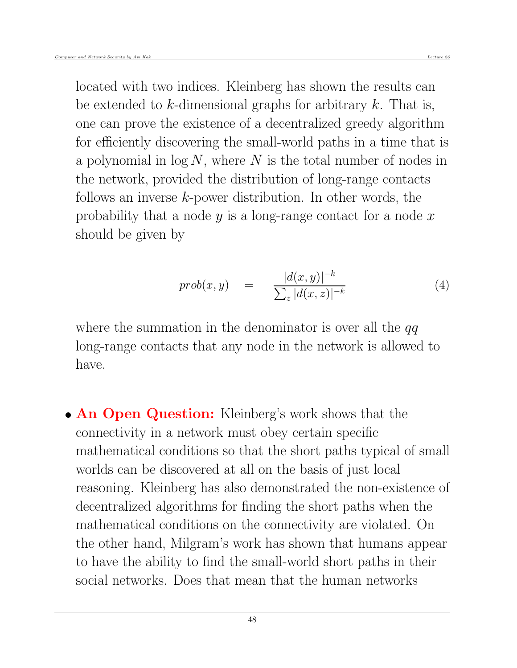located with two indices. Kleinberg has shown the results can be extended to  $k$ -dimensional graphs for arbitrary  $k$ . That is, one can prove the existence of a decentralized greedy algorithm for efficiently discovering the small-world paths in a time that is a polynomial in  $\log N$ , where N is the total number of nodes in the network, provided the distribution of long-range contacts follows an inverse  $k$ -power distribution. In other words, the probability that a node  $y$  is a long-range contact for a node  $x$ should be given by

$$
prob(x, y) = \frac{|d(x, y)|^{-k}}{\sum_{z} |d(x, z)|^{-k}}
$$
(4)

where the summation in the denominator is over all the  $qq$ long-range contacts that any node in the network is allowed to have.

 An Open Question: Kleinberg's work shows that the connectivity in a network must obey certain specific mathematical conditions so that the short paths typical of small worlds can be discovered at all on the basis of just local reasoning. Kleinberg has also demonstrated the non-existence of decentralized algorithms for finding the short paths when the mathematical conditions on the connectivity are violated. On the other hand, Milgram's work has shown that humans appear to have the ability to find the small-world short paths in their social networks. Does that mean that the human networks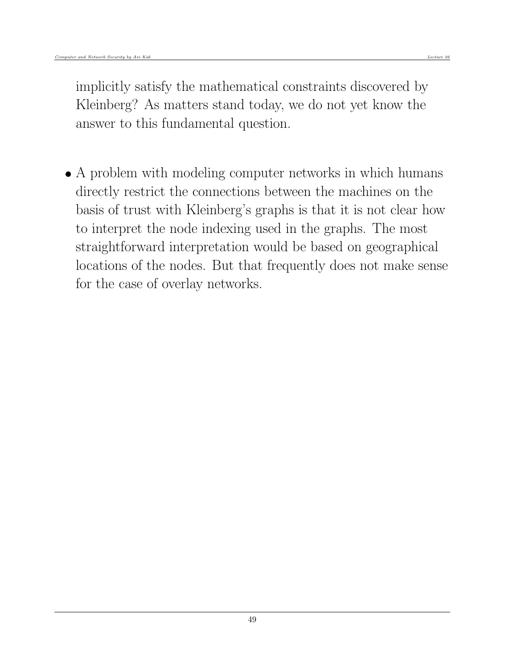implicitly satisfy the mathematical constraints discovered by Kleinberg? As matters stand today, we do not yet know the answer to this fundamental question.

 A problem with modeling computer networks in which humans directly restrict the connections between the machines on the basis of trust with Kleinberg's graphs is that it is not clear how to interpret the node indexing used in the graphs. The most straightforward interpretation would be based on geographical locations of the nodes. But that frequently does not make sense for the case of overlay networks.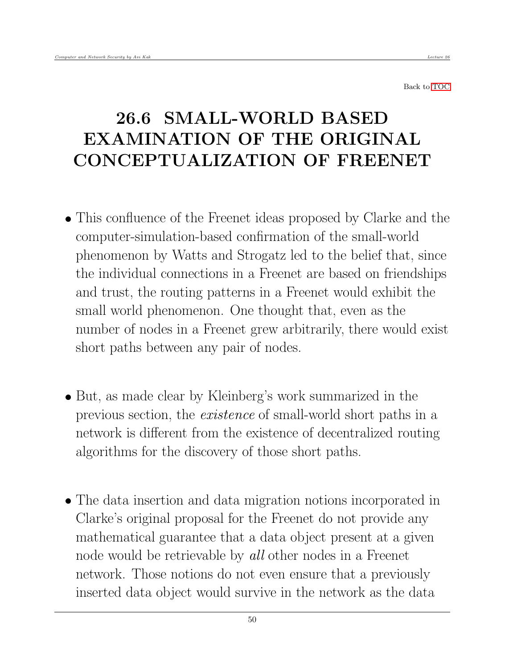Back to [TOC](#page-1-0)

## 26.6 SMALL-WORLD BASED EXAMINATION OF THE ORIGINAL CONCEPTUALIZATION OF FREENET

- This confluence of the Freenet ideas proposed by Clarke and the computer-simulation-based confirmation of the small-world phenomenon by Watts and Strogatz led to the belief that, since the individual connections in a Freenet are based on friendships and trust, the routing patterns in a Freenet would exhibit the small world phenomenon. One thought that, even as the number of nodes in a Freenet grew arbitrarily, there would exist short paths between any pair of nodes.
- But, as made clear by Kleinberg's work summarized in the previous section, the existence of small-world short paths in a network is different from the existence of decentralized routing algorithms for the discovery of those short paths.
- The data insertion and data migration notions incorporated in Clarke's original proposal for the Freenet do not provide any mathematical guarantee that a data object present at a given node would be retrievable by all other nodes in a Freenet network. Those notions do not even ensure that a previously inserted data object would survive in the network as the data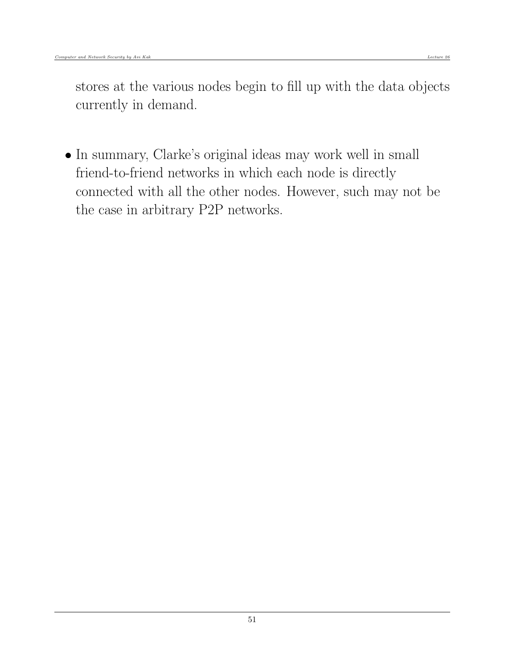stores at the various nodes begin to fill up with the data objects currently in demand.

• In summary, Clarke's original ideas may work well in small friend-to-friend networks in which each node is directly connected with all the other nodes. However, such may not be the case in arbitrary P2P networks.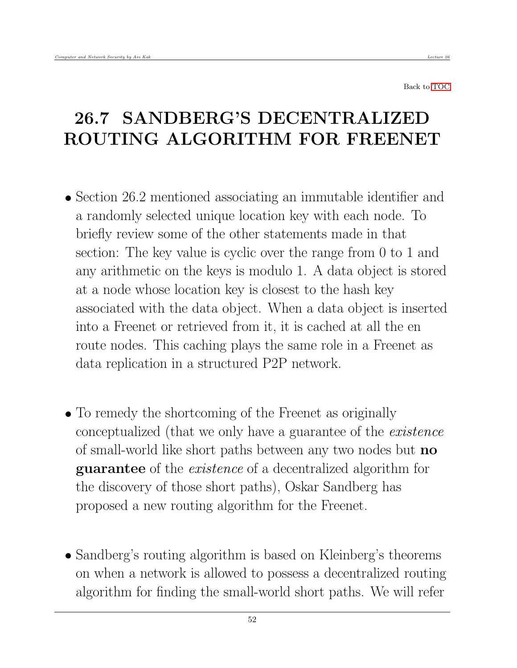Back to [TOC](#page-1-0)

## 26.7 SANDBERG'S DECENTRALIZED ROUTING ALGORITHM FOR FREENET

- Section 26.2 mentioned associating an immutable identifier and a randomly selected unique location key with each node. To briefly review some of the other statements made in that section: The key value is cyclic over the range from 0 to 1 and any arithmetic on the keys is modulo 1. A data object is stored at a node whose location key is closest to the hash key associated with the data object. When a data object is inserted into a Freenet or retrieved from it, it is cached at all the en route nodes. This caching plays the same role in a Freenet as data replication in a structured P2P network.
- To remedy the shortcoming of the Freenet as originally conceptualized (that we only have a guarantee of the existence of small-world like short paths between any two nodes but no **guarantee** of the *existence* of a decentralized algorithm for the discovery of those short paths), Oskar Sandberg has proposed a new routing algorithm for the Freenet.
- Sandberg's routing algorithm is based on Kleinberg's theorems on when a network is allowed to possess a decentralized routing algorithm for finding the small-world short paths. We will refer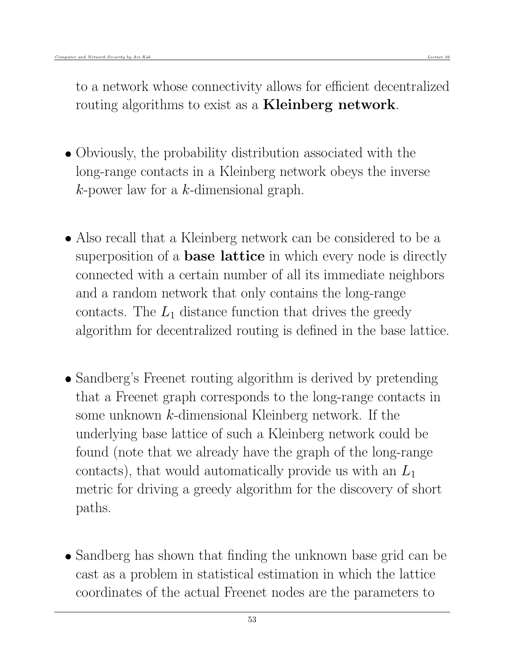to a network whose connectivity allows for efficient decentralized routing algorithms to exist as a **Kleinberg network**.

- Obviously, the probability distribution associated with the long-range contacts in a Kleinberg network obeys the inverse  $k$ -power law for a k-dimensional graph.
- Also recall that a Kleinberg network can be considered to be a superposition of a **base lattice** in which every node is directly connected with a certain number of all its immediate neighbors and a random network that only contains the long-range contacts. The  $L_1$  distance function that drives the greedy algorithm for decentralized routing is defined in the base lattice.
- Sandberg's Freenet routing algorithm is derived by pretending that a Freenet graph corresponds to the long-range contacts in some unknown k-dimensional Kleinberg network. If the underlying base lattice of such a Kleinberg network could be found (note that we already have the graph of the long-range contacts), that would automatically provide us with an  $L_1$ metric for driving a greedy algorithm for the discovery of short paths.
- Sandberg has shown that finding the unknown base grid can be cast as a problem in statistical estimation in which the lattice coordinates of the actual Freenet nodes are the parameters to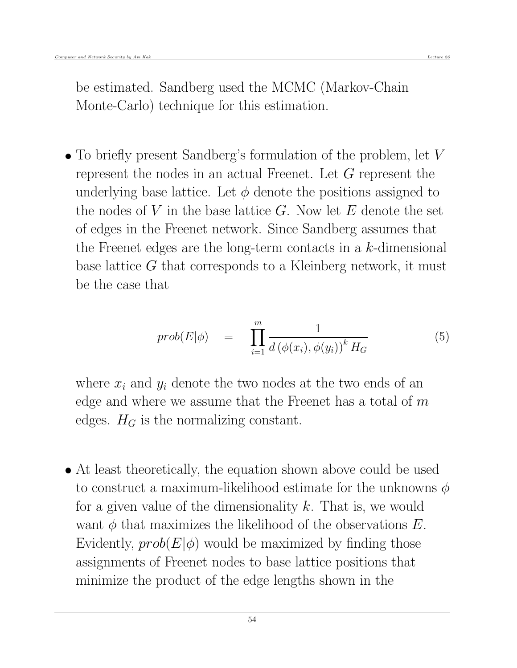be estimated. Sandberg used the MCMC (Markov-Chain Monte-Carlo) technique for this estimation.

• To briefly present Sandberg's formulation of the problem, let V represent the nodes in an actual Freenet. Let G represent the underlying base lattice. Let  $\phi$  denote the positions assigned to the nodes of  $V$  in the base lattice  $G$ . Now let  $E$  denote the set of edges in the Freenet network. Since Sandberg assumes that the Freenet edges are the long-term contacts in a  $k$ -dimensional base lattice G that corresponds to a Kleinberg network, it must be the case that

$$
prob(E|\phi) = \prod_{i=1}^{m} \frac{1}{d(\phi(x_i), \phi(y_i))^k H_G}
$$
(5)

where  $x_i$  and  $y_i$  denote the two nodes at the two ends of an edge and where we assume that the Freenet has a total of  $m$ edges.  $H_G$  is the normalizing constant.

 At least theoretically, the equation shown above could be used to construct a maximum-likelihood estimate for the unknowns  $\phi$ for a given value of the dimensionality  $k$ . That is, we would want  $\phi$  that maximizes the likelihood of the observations  $E$ . Evidently,  $prob(E|\phi)$  would be maximized by finding those assignments of Freenet nodes to base lattice positions that minimize the product of the edge lengths shown in the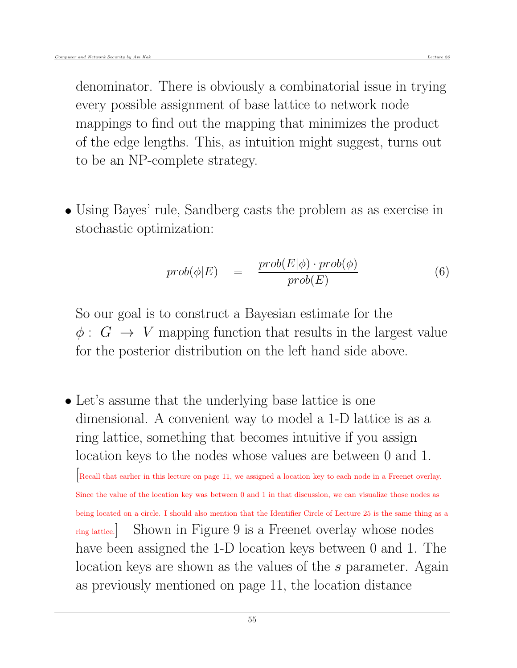denominator. There is obviously a combinatorial issue in trying every possible assignment of base lattice to network node mappings to find out the mapping that minimizes the product of the edge lengths. This, as intuition might suggest, turns out to be an NP-complete strategy.

 Using Bayes' rule, Sandberg casts the problem as as exercise in stochastic optimization:

$$
prob(\phi|E) = \frac{prob(E|\phi) \cdot prob(\phi)}{prob(E)}
$$
(6)

So our goal is to construct a Bayesian estimate for the  $\phi: G \to V$  mapping function that results in the largest value for the posterior distribution on the left hand side above.

 Let's assume that the underlying base lattice is one dimensional. A convenient way to model a 1-D lattice is as a ring lattice, something that becomes intuitive if you assign location keys to the nodes whose values are between 0 and 1. [Recall that earlier in this lecture on page 11, we assigned a location key to each node in a Freenet overlay. Since the value of the location key was between 0 and 1 in that discussion, we can visualize those nodes as being located on a circle. I should also mention that the Identifier Circle of Lecture 25 is the same thing as a ring lattice.] Shown in Figure 9 is a Freenet overlay whose nodes have been assigned the 1-D location keys between 0 and 1. The location keys are shown as the values of the s parameter. Again as previously mentioned on page 11, the location distance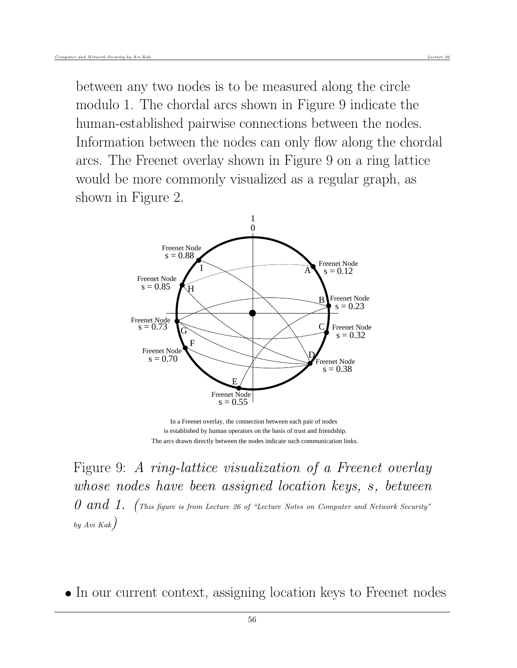between any two nodes is to be measured along the circle modulo 1. The chordal arcs shown in Figure 9 indicate the human-established pairwise connections between the nodes. Information between the nodes can only flow along the chordal arcs. The Freenet overlay shown in Figure 9 on a ring lattice would be more commonly visualized as a regular graph, as shown in Figure 2.



In a Freenet overlay, the connection between each pair of nodes is established by human operators on the basis of trust and friendship. The arcs drawn directly between the nodes indicate such communication links.

Figure 9: A ring-lattice visualization of a Freenet overlay whose nodes have been assigned location keys, s, between  $0 \text{ and } 1.$  (This figure is from Lecture 26 of "Lecture Notes on Computer and Network Security" by Avi Kak)

• In our current context, assigning location keys to Freenet nodes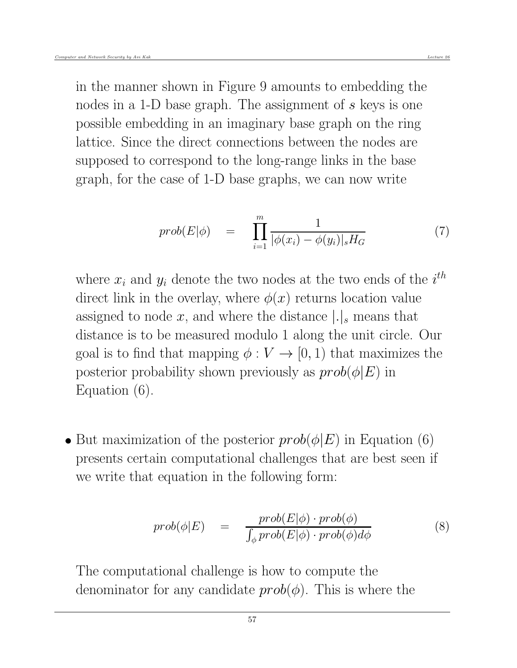in the manner shown in Figure 9 amounts to embedding the nodes in a 1-D base graph. The assignment of s keys is one possible embedding in an imaginary base graph on the ring lattice. Since the direct connections between the nodes are supposed to correspond to the long-range links in the base graph, for the case of 1-D base graphs, we can now write

$$
prob(E|\phi) = \prod_{i=1}^{m} \frac{1}{|\phi(x_i) - \phi(y_i)|_s H_G}
$$
(7)

where  $x_i$  and  $y_i$  denote the two nodes at the two ends of the  $i^{th}$ direct link in the overlay, where  $\phi(x)$  returns location value assigned to node x, and where the distance  $\lfloor . \rfloor_s$  means that distance is to be measured modulo 1 along the unit circle. Our goal is to find that mapping  $\phi: V \to [0, 1)$  that maximizes the posterior probability shown previously as  $prob(\phi|E)$  in Equation (6).

• But maximization of the posterior  $prob(\phi|E)$  in Equation (6) presents certain computational challenges that are best seen if we write that equation in the following form:

$$
prob(\phi|E) = \frac{prob(E|\phi) \cdot prob(\phi)}{\int_{\phi} prob(E|\phi) \cdot prob(\phi)d\phi}
$$
(8)

The computational challenge is how to compute the denominator for any candidate  $prob(\phi)$ . This is where the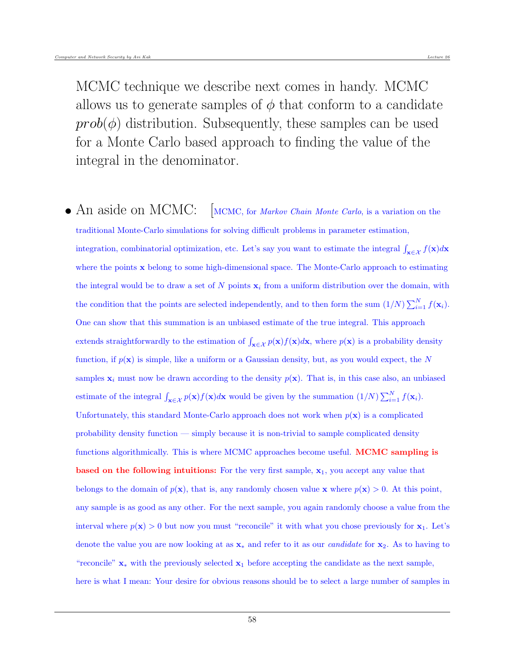MCMC technique we describe next comes in handy. MCMC allows us to generate samples of  $\phi$  that conform to a candidate  $prob(\phi)$  distribution. Subsequently, these samples can be used for a Monte Carlo based approach to finding the value of the integral in the denominator.

• An aside on MCMC: [MCMC, for *Markov Chain Monte Carlo*, is a variation on the traditional Monte-Carlo simulations for solving difficult problems in parameter estimation, integration, combinatorial optimization, etc. Let's say you want to estimate the integral  $\int_{\mathbf{x}\in\mathcal{X}} f(\mathbf{x})d\mathbf{x}$ where the points x belong to some high-dimensional space. The Monte-Carlo approach to estimating the integral would be to draw a set of N points  $x_i$  from a uniform distribution over the domain, with the condition that the points are selected independently, and to then form the sum  $(1/N)\sum_{i=1}^{N} f(\mathbf{x}_i)$ . One can show that this summation is an unbiased estimate of the true integral. This approach extends straightforwardly to the estimation of  $\int_{\mathbf{x}\in\mathcal{X}} p(\mathbf{x}) f(\mathbf{x}) d\mathbf{x}$ , where  $p(\mathbf{x})$  is a probability density function, if  $p(x)$  is simple, like a uniform or a Gaussian density, but, as you would expect, the N samples  $x_i$  must now be drawn according to the density  $p(x)$ . That is, in this case also, an unbiased estimate of the integral  $\int_{\mathbf{x}\in\mathcal{X}} p(\mathbf{x}) f(\mathbf{x}) d\mathbf{x}$  would be given by the summation  $(1/N) \sum_{i=1}^{N} f(\mathbf{x}_i)$ . Unfortunately, this standard Monte-Carlo approach does not work when  $p(x)$  is a complicated probability density function — simply because it is non-trivial to sample complicated density functions algorithmically. This is where MCMC approaches become useful. **MCMC sampling is based on the following intuitions:** For the very first sample,  $x_1$ , you accept any value that belongs to the domain of  $p(x)$ , that is, any randomly chosen value x where  $p(x) > 0$ . At this point, any sample is as good as any other. For the next sample, you again randomly choose a value from the interval where  $p(x) > 0$  but now you must "reconcile" it with what you chose previously for  $x_1$ . Let's denote the value you are now looking at as  $x_*$  and refer to it as our *candidate* for  $x_2$ . As to having to "reconcile"  $\mathbf{x}_*$  with the previously selected  $\mathbf{x}_1$  before accepting the candidate as the next sample, here is what I mean: Your desire for obvious reasons should be to select a large number of samples in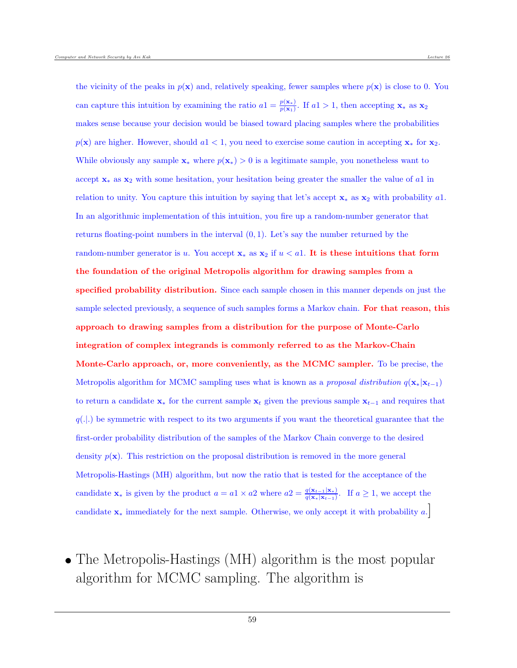the vicinity of the peaks in  $p(x)$  and, relatively speaking, fewer samples where  $p(x)$  is close to 0. You can capture this intuition by examining the ratio  $a1 = \frac{p(\mathbf{x}_*)}{p(\mathbf{x}_1)}$ . If  $a1 > 1$ , then accepting  $\mathbf{x}_*$  as  $\mathbf{x}_2$ makes sense because your decision would be biased toward placing samples where the probabilities  $p(x)$  are higher. However, should  $a1 < 1$ , you need to exercise some caution in accepting  $x_*$  for  $x_2$ . While obviously any sample  $\mathbf{x}_*$  where  $p(\mathbf{x}_*) > 0$  is a legitimate sample, you nonetheless want to accept  $\mathbf{x}^*$  as  $\mathbf{x}_2$  with some hesitation, your hesitation being greater the smaller the value of a1 in relation to unity. You capture this intuition by saying that let's accept  $\mathbf{x}_*$  as  $\mathbf{x}_2$  with probability al. In an algorithmic implementation of this intuition, you fire up a random-number generator that returns floating-point numbers in the interval (0, 1). Let's say the number returned by the random-number generator is u. You accept  $x_*$  as  $x_2$  if  $u < a$ 1. It is these intuitions that form the foundation of the original Metropolis algorithm for drawing samples from a specified probability distribution. Since each sample chosen in this manner depends on just the sample selected previously, a sequence of such samples forms a Markov chain. For that reason, this approach to drawing samples from a distribution for the purpose of Monte-Carlo integration of complex integrands is commonly referred to as the Markov-Chain Monte-Carlo approach, or, more conveniently, as the MCMC sampler. To be precise, the Metropolis algorithm for MCMC sampling uses what is known as a *proposal distribution*  $q(\mathbf{x}∗|\mathbf{x}_{t-1})$ to return a candidate  $x_*$  for the current sample  $x_t$  given the previous sample  $x_{t-1}$  and requires that  $q(.).$  be symmetric with respect to its two arguments if you want the theoretical guarantee that the first-order probability distribution of the samples of the Markov Chain converge to the desired density  $p(x)$ . This restriction on the proposal distribution is removed in the more general Metropolis-Hastings (MH) algorithm, but now the ratio that is tested for the acceptance of the candidate  $\mathbf{x}_*$  is given by the product  $a = a_1 \times a_2$  where  $a_2 = \frac{q(\mathbf{x}_{t-1} | \mathbf{x}_*)}{q(\mathbf{x}_* | \mathbf{x}_{t-1})}$ . If  $a \geq 1$ , we accept the candidate  $\mathbf{x}^*$  immediately for the next sample. Otherwise, we only accept it with probability  $a$ .

 The Metropolis-Hastings (MH) algorithm is the most popular algorithm for MCMC sampling. The algorithm is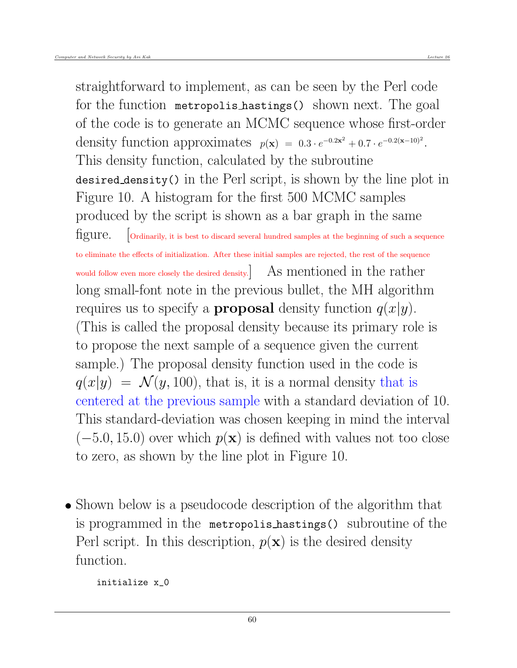straightforward to implement, as can be seen by the Perl code for the function metropolis hastings() shown next. The goal of the code is to generate an MCMC sequence whose first-order density function approximates  $p(\mathbf{x}) = 0.3 \cdot e^{-0.2\mathbf{x}^2} + 0.7 \cdot e^{-0.2(\mathbf{x} - 10)^2}$ . This density function, calculated by the subroutine desired density() in the Perl script, is shown by the line plot in Figure 10. A histogram for the first 500 MCMC samples produced by the script is shown as a bar graph in the same figure. | Ordinarily, it is best to discard several hundred samples at the beginning of such a sequence to eliminate the effects of initialization. After these initial samples are rejected, the rest of the sequence would follow even more closely the desired density. As mentioned in the rather long small-font note in the previous bullet, the MH algorithm requires us to specify a **proposal** density function  $q(x|y)$ . (This is called the proposal density because its primary role is to propose the next sample of a sequence given the current sample.) The proposal density function used in the code is  $q(x|y) = \mathcal{N}(y, 100)$ , that is, it is a normal density that is centered at the previous sample with a standard deviation of 10. This standard-deviation was chosen keeping in mind the interval  $(-5.0, 15.0)$  over which  $p(\mathbf{x})$  is defined with values not too close to zero, as shown by the line plot in Figure 10.

• Shown below is a pseudocode description of the algorithm that is programmed in the metropolis hastings() subroutine of the Perl script. In this description,  $p(\mathbf{x})$  is the desired density function.

```
initialize x_0
```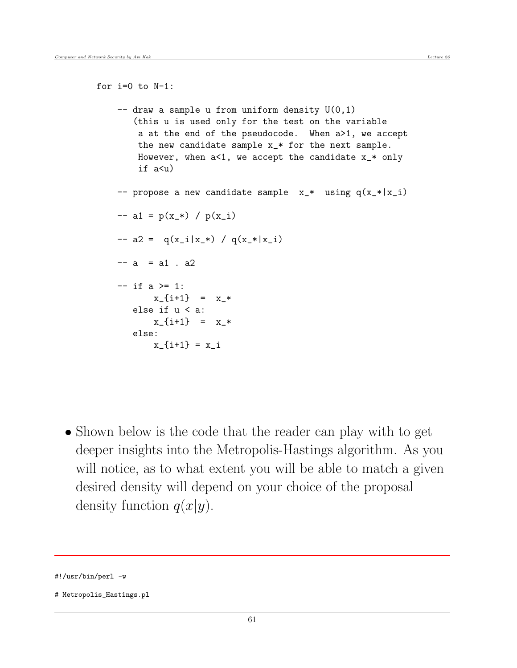```
for i=0 to N-1:
    -- draw a sample u from uniform density U(0,1)
       (this u is used only for the test on the variable
        a at the end of the pseudocode. When a>1, we accept
        the new candidate sample x_* for the next sample.
        However, when a < 1, we accept the candidate x_* only
        if a < u)
    -- propose a new candidate sample x-* using q(x-*|x_i)- a1 = p(x_*) / p(x_1)- a2 = q(x_i|x_*) / q(x_*|x_i)
    - - a = a1 . a2
    - if a >= 1:
           x_{-}{i+1} = x_{-}*
       else if u < a:
           x_{\text{-}}\{i+1\} = x_{\text{-}}*else:
           x_{-}i+1 = x_{-}i
```
• Shown below is the code that the reader can play with to get deeper insights into the Metropolis-Hastings algorithm. As you will notice, as to what extent you will be able to match a given desired density will depend on your choice of the proposal density function  $q(x|y)$ .

<sup>#!/</sup>usr/bin/perl -w

<sup>#</sup> Metropolis\_Hastings.pl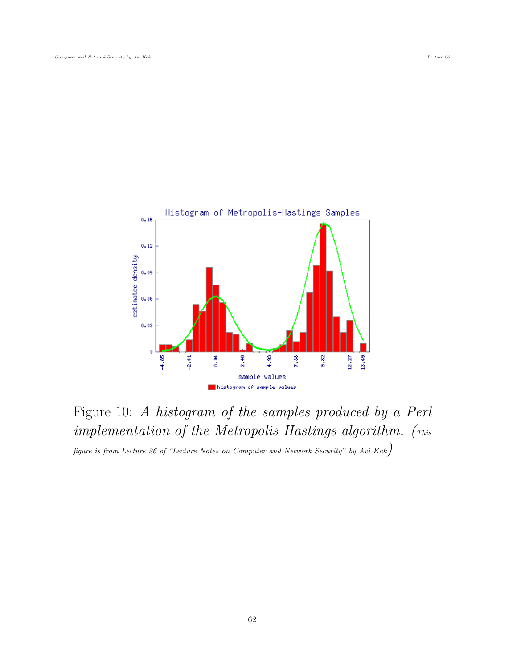

Figure 10: A histogram of the samples produced by a Perl implementation of the Metropolis-Hastings algorithm. (This

figure is from Lecture 26 of "Lecture Notes on Computer and Network Security" by Avi Kak)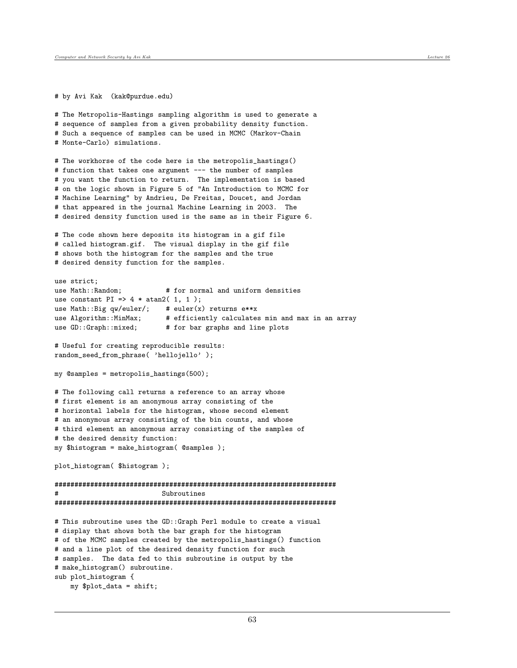# by Avi Kak (kak@purdue.edu)

```
# The Metropolis-Hastings sampling algorithm is used to generate a
# sequence of samples from a given probability density function.
# Such a sequence of samples can be used in MCMC (Markov-Chain
# Monte-Carlo) simulations.
# The workhorse of the code here is the metropolis_hastings()
# function that takes one argument --- the number of samples
# you want the function to return. The implementation is based
# on the logic shown in Figure 5 of "An Introduction to MCMC for
# Machine Learning" by Andrieu, De Freitas, Doucet, and Jordan
# that appeared in the journal Machine Learning in 2003. The
# desired density function used is the same as in their Figure 6.
# The code shown here deposits its histogram in a gif file
# called histogram.gif. The visual display in the gif file
# shows both the histogram for the samples and the true
# desired density function for the samples.
use strict;
use Math::Random; # for normal and uniform densities
use constant PI => 4 * \text{atan2}(1, 1);use Math::Big qw/euler/; # euler(x) returns e**x
use Algorithm::MinMax; # efficiently calculates min and max in an array
use GD::Graph::mixed; # for bar graphs and line plots
# Useful for creating reproducible results:
random_seed_from_phrase( 'hellojello' );
my @samples = metropolis_hastings(500);
# The following call returns a reference to an array whose
# first element is an anonymous array consisting of the
# horizontal labels for the histogram, whose second element
# an anonymous array consisting of the bin counts, and whose
# third element an anonymous array consisting of the samples of
# the desired density function:
my $histogram = make_histogram( @samples );
plot_histogram( $histogram );
#######################################################################
                           Subroutines
#######################################################################
# This subroutine uses the GD::Graph Perl module to create a visual
# display that shows both the bar graph for the histogram
# of the MCMC samples created by the metropolis_hastings() function
# and a line plot of the desired density function for such
# samples. The data fed to this subroutine is output by the
# make_histogram() subroutine.
sub plot_histogram {
   my $plot_data = shift;
```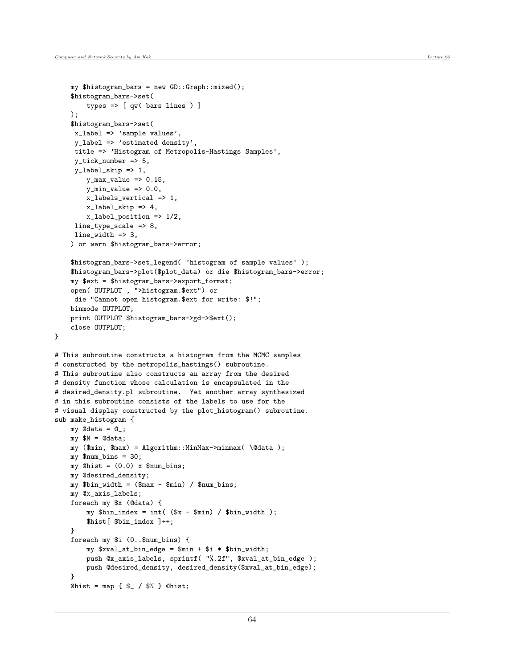```
my $histogram_bars = new GD::Graph::mixed();
    $histogram_bars->set(
        types => [ qw( bars lines ) ]
    );
    $histogram_bars->set(
     x_label => 'sample values',
     y_label => 'estimated density',
     title => 'Histogram of Metropolis-Hastings Samples',
     y_tick_number => 5,
     y_label_skip => 1,
        y_max_value => 0.15,
        y_{min_value} => 0.0,
        x_labels_vertical => 1,
        x<sup>1</sup>abel_skip => 4,
        x_label_position => 1/2,
     line_type_scale => 8,
     line_width => 3,
    ) or warn $histogram_bars->error;
    $histogram_bars->set_legend( 'histogram of sample values' );
    $histogram_bars->plot($plot_data) or die $histogram_bars->error;
    my $ext = $histogram_bars->export_format;
    open( OUTPLOT , ">histogram.$ext") or
     die "Cannot open histogram.$ext for write: $!";
    binmode OUTPLOT;
    print OUTPLOT $histogram_bars->gd->$ext();
    close OUTPLOT;
}
# This subroutine constructs a histogram from the MCMC samples
# constructed by the metropolis_hastings() subroutine.
# This subroutine also constructs an array from the desired
# density function whose calculation is encapsulated in the
# desired_density.pl subroutine. Yet another array synthesized
# in this subroutine consists of the labels to use for the
# visual display constructed by the plot_histogram() subroutine.
sub make_histogram {
   my \mathbb{Q}data = \mathbb{Q}_;
    my (N = 0data;
    my (\frac{1}{2}) = \text{Algorithm}::\text{MinMax} \rightarrow \text{minmax} \@data );
    mv $num bins = 30;
    my \text{This} = (0.0) \times \text{Shum} \cdot \text{bins};my @desired_density;
    my $bin_width = ($max - $min) / $num_bins;
    my @x_axis_labels;
    foreach my $x (@data) {
        my \text{\$bin\_index = int( ($\texttt{xx - $min}) / $bin\_width });$hist[ $bin_index ]++;
    }
    foreach my $i (0..$num_bins) {
        my $xval_at_bin_edge = $min + $i * $bin_width;
        push @x_axis_labels, sprintf( "%.2f", $xval_at_bin_edge );
        push @desired_density, desired_density($xval_at_bin_edge);
    }
    Chist = map \{\$ / \$N \} Chist;
```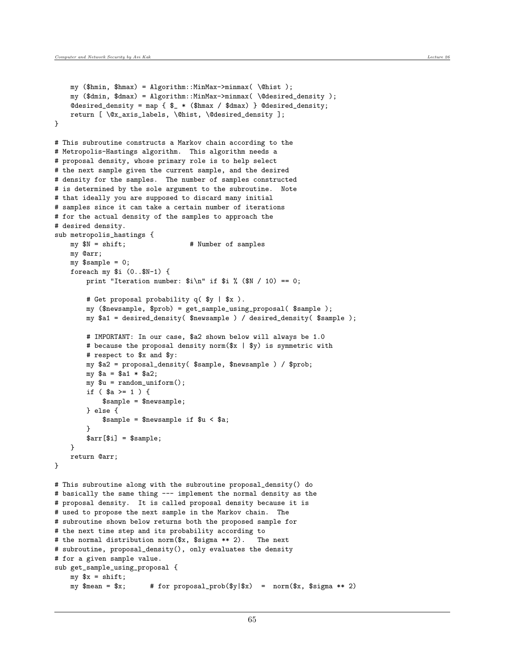```
my ($hmin, $hmax) = Algorithm::MinMax->minmax(\@hist);
   my ($dmin, $dmax) = Algorithm::MinMax->minmax( \@desired_density );
    @desired_density = map { $_ * ($hmax / $dmax) } @desired_density;
   return [ \@x_axis_labels, \@hist, \@desired_density ];
}
# This subroutine constructs a Markov chain according to the
# Metropolis-Hastings algorithm. This algorithm needs a
# proposal density, whose primary role is to help select
# the next sample given the current sample, and the desired
# density for the samples. The number of samples constructed
# is determined by the sole argument to the subroutine. Note
# that ideally you are supposed to discard many initial
# samples since it can take a certain number of iterations
# for the actual density of the samples to approach the
# desired density.
sub metropolis_hastings {
   my N = shift; # Number of samples
   my @arr;
   my $sample = 0;foreach my $i (0..$N-1) {
        print "Iteration number: i\ni' if i' (N / 10) == 0;
        # Get proposal probability q( $y | $x ).
        my ($newsample, $prob) = get_sample_using_proposal( $sample );
        my $a1 = desired_density( $newsample ) / desired_density( $sample );
        # IMPORTANT: In our case, $a2 shown below will always be 1.0
        # because the proposal density norm($x | $y) is symmetric with
        # respect to $x and $y:
        my $a2 = proposal_density( $sample, $newsample ) / $prob;
        my $a = $a1 * $a2;
        my \n u = random_uniform();
        if ( a \ge 1 ) {
            $sample = $newsample;
        } else {
            $sample = $newsample if $u < $a;
        }
        \text{Sarr}[\text{si}] = \text{Ssample};
    }
   return @arr;
}
# This subroutine along with the subroutine proposal_density() do
# basically the same thing --- implement the normal density as the
# proposal density. It is called proposal density because it is
# used to propose the next sample in the Markov chain. The
# subroutine shown below returns both the proposed sample for
# the next time step and its probability according to
# the normal distribution norm($x, $sigma ** 2). The next
# subroutine, proposal_density(), only evaluates the density
# for a given sample value.
sub get_sample_using_proposal {
   my x = shift;my \text{Imean} = \text{$x$}; # for proposal_prob(\text{{$y$}}|\text{{$x$}}) = norm(\text{{$x$}}, \text{{$s$}}igma ** 2)
```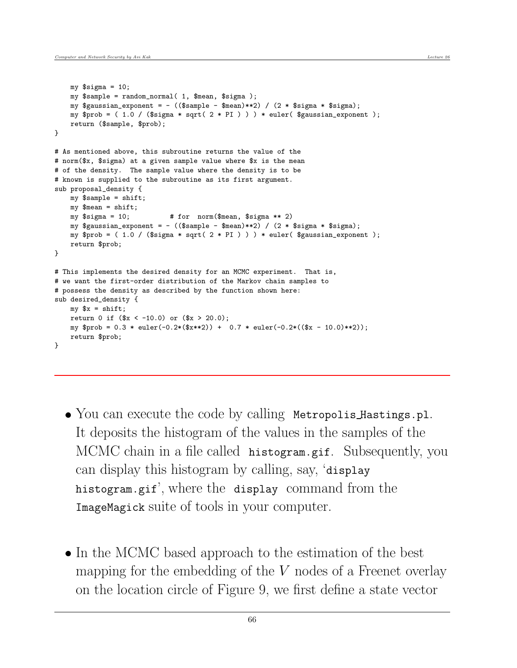```
my $sigma = 10;
    my $sample = random_normal( 1, $mean, $sigma );
    my $gaussian_exponent = - (($sample - $mean)**2) / (2 * $sigma * $sigma);
    my $prob = ( 1.0 / ($sigma * sqrt( 2 * PI ) ) ) * euler( $gaussian_exponent );
    return ($sample, $prob);
}
# As mentioned above, this subroutine returns the value of the
# norm($x, $sigma) at a given sample value where $x is the mean
# of the density. The sample value where the density is to be
# known is supplied to the subroutine as its first argument.
sub proposal_density {
    my $sample = shift;
    my $mean = shift;
    my sigma = 10; \qquad # for norm(smean, ssigma ** 2)
    my \gamma sgaussian_exponent = - ((\gammasample - \gammamean) **2) / (2 * \gammasigma * \gammasigma);
    my $prob = ( 1.0 / ($sigma * sqrt( 2 * PI ) ) ) * euler( $gaussian_exponent );
    return $prob;
}
# This implements the desired density for an MCMC experiment. That is,
# we want the first-order distribution of the Markov chain samples to
# possess the density as described by the function shown here:
sub desired_density {
    my *x = shift;return 0 if ($x < -10.0) or ($x > 20.0);my \text{Prob} = 0.3 * \text{ eller}(-0.2*(\$x**2)) + 0.7 * \text{ eller}(-0.2*((\$x - 10.0)**2));return $prob;
}
```
- You can execute the code by calling Metropolis Hastings.pl. It deposits the histogram of the values in the samples of the MCMC chain in a file called histogram.gif. Subsequently, you can display this histogram by calling, say, 'display histogram.gif', where the display command from the ImageMagick suite of tools in your computer.
- In the MCMC based approach to the estimation of the best mapping for the embedding of the  $V$  nodes of a Freenet overlay on the location circle of Figure 9, we first define a state vector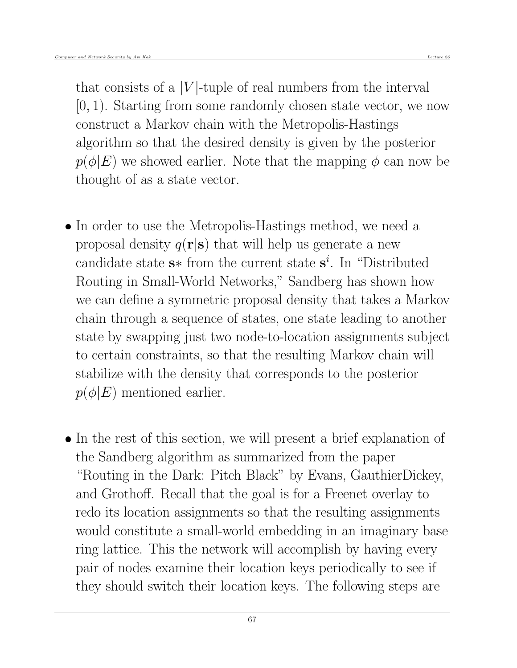that consists of a  $|V|$ -tuple of real numbers from the interval [0, 1). Starting from some randomly chosen state vector, we now construct a Markov chain with the Metropolis-Hastings algorithm so that the desired density is given by the posterior  $p(\phi|E)$  we showed earlier. Note that the mapping  $\phi$  can now be thought of as a state vector.

- In order to use the Metropolis-Hastings method, we need a proposal density  $q(\mathbf{r}|s)$  that will help us generate a new candidate state  $s*$  from the current state  $s^i$ . In "Distributed" Routing in Small-World Networks," Sandberg has shown how we can define a symmetric proposal density that takes a Markov chain through a sequence of states, one state leading to another state by swapping just two node-to-location assignments subject to certain constraints, so that the resulting Markov chain will stabilize with the density that corresponds to the posterior  $p(\phi|E)$  mentioned earlier.
- In the rest of this section, we will present a brief explanation of the Sandberg algorithm as summarized from the paper "Routing in the Dark: Pitch Black" by Evans, GauthierDickey, and Grothoff. Recall that the goal is for a Freenet overlay to redo its location assignments so that the resulting assignments would constitute a small-world embedding in an imaginary base ring lattice. This the network will accomplish by having every pair of nodes examine their location keys periodically to see if they should switch their location keys. The following steps are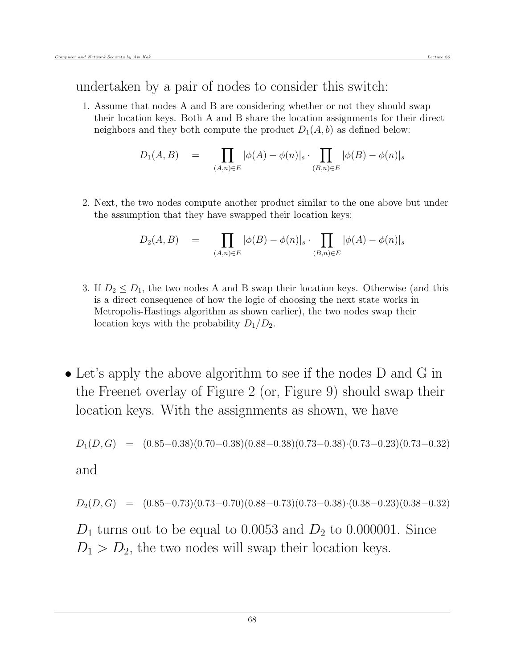undertaken by a pair of nodes to consider this switch:

1. Assume that nodes A and B are considering whether or not they should swap their location keys. Both A and B share the location assignments for their direct neighbors and they both compute the product  $D_1(A, b)$  as defined below:

$$
D_1(A, B) = \prod_{(A,n)\in E} |\phi(A) - \phi(n)|_s \cdot \prod_{(B,n)\in E} |\phi(B) - \phi(n)|_s
$$

2. Next, the two nodes compute another product similar to the one above but under the assumption that they have swapped their location keys:

$$
D_2(A, B) = \prod_{(A,n)\in E} |\phi(B) - \phi(n)|_s \cdot \prod_{(B,n)\in E} |\phi(A) - \phi(n)|_s
$$

- 3. If  $D_2 \leq D_1$ , the two nodes A and B swap their location keys. Otherwise (and this is a direct consequence of how the logic of choosing the next state works in Metropolis-Hastings algorithm as shown earlier), the two nodes swap their location keys with the probability  $D_1/D_2$ .
- Let's apply the above algorithm to see if the nodes D and G in the Freenet overlay of Figure 2 (or, Figure 9) should swap their location keys. With the assignments as shown, we have

$$
D_1(D,G) = (0.85-0.38)(0.70-0.38)(0.88-0.38)(0.73-0.38)\cdot(0.73-0.23)(0.73-0.32)
$$

and

$$
D_2(D,G) \quad = \quad (0.85-0.73)(0.73-0.70)(0.88-0.73)(0.73-0.38)\cdot (0.38-0.23)(0.38-0.32)
$$

 $D_1$  turns out to be equal to 0.0053 and  $D_2$  to 0.000001. Since  $D_1 > D_2$ , the two nodes will swap their location keys.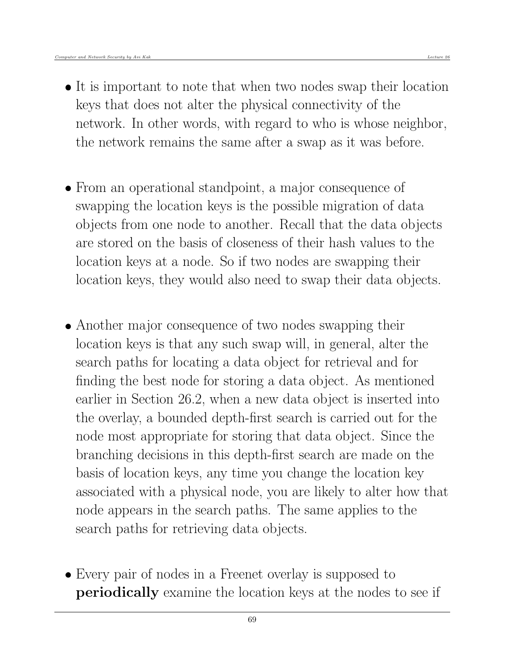- It is important to note that when two nodes swap their location keys that does not alter the physical connectivity of the network. In other words, with regard to who is whose neighbor, the network remains the same after a swap as it was before.
- From an operational standpoint, a major consequence of swapping the location keys is the possible migration of data objects from one node to another. Recall that the data objects are stored on the basis of closeness of their hash values to the location keys at a node. So if two nodes are swapping their location keys, they would also need to swap their data objects.
- Another major consequence of two nodes swapping their location keys is that any such swap will, in general, alter the search paths for locating a data object for retrieval and for finding the best node for storing a data object. As mentioned earlier in Section 26.2, when a new data object is inserted into the overlay, a bounded depth-first search is carried out for the node most appropriate for storing that data object. Since the branching decisions in this depth-first search are made on the basis of location keys, any time you change the location key associated with a physical node, you are likely to alter how that node appears in the search paths. The same applies to the search paths for retrieving data objects.
- Every pair of nodes in a Freenet overlay is supposed to periodically examine the location keys at the nodes to see if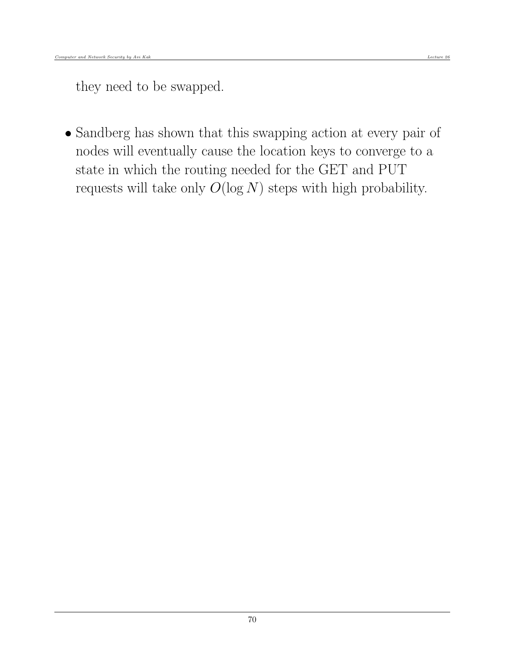they need to be swapped.

 Sandberg has shown that this swapping action at every pair of nodes will eventually cause the location keys to converge to a state in which the routing needed for the GET and PUT requests will take only  $O(\log N)$  steps with high probability.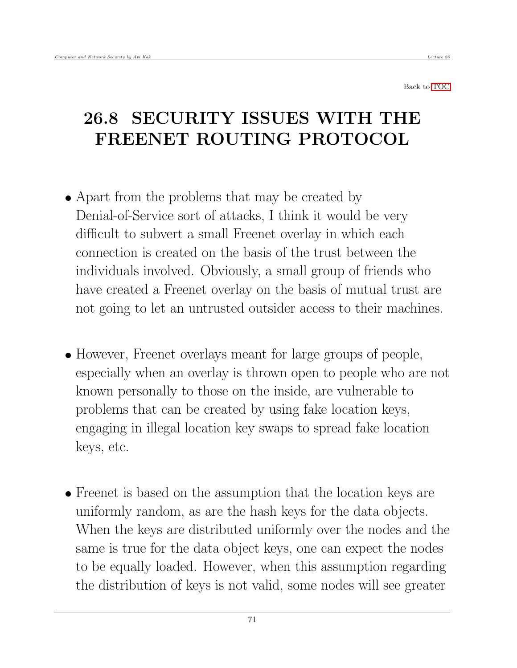Back to [TOC](#page-1-0)

## 26.8 SECURITY ISSUES WITH THE FREENET ROUTING PROTOCOL

- Apart from the problems that may be created by Denial-of-Service sort of attacks, I think it would be very difficult to subvert a small Freenet overlay in which each connection is created on the basis of the trust between the individuals involved. Obviously, a small group of friends who have created a Freenet overlay on the basis of mutual trust are not going to let an untrusted outsider access to their machines.
- However, Freenet overlays meant for large groups of people, especially when an overlay is thrown open to people who are not known personally to those on the inside, are vulnerable to problems that can be created by using fake location keys, engaging in illegal location key swaps to spread fake location keys, etc.
- Freenet is based on the assumption that the location keys are uniformly random, as are the hash keys for the data objects. When the keys are distributed uniformly over the nodes and the same is true for the data object keys, one can expect the nodes to be equally loaded. However, when this assumption regarding the distribution of keys is not valid, some nodes will see greater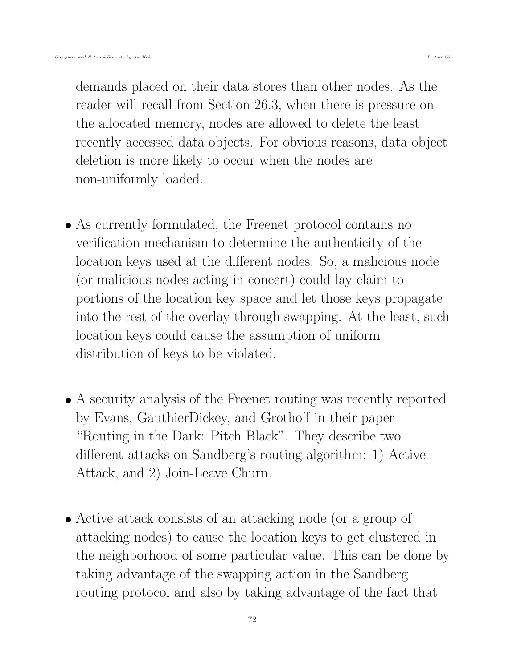demands placed on their data stores than other nodes. As the reader will recall from Section 26.3, when there is pressure on the allocated memory, nodes are allowed to delete the least recently accessed data objects. For obvious reasons, data object deletion is more likely to occur when the nodes are non-uniformly loaded.

- As currently formulated, the Freenet protocol contains no verification mechanism to determine the authenticity of the location keys used at the different nodes. So, a malicious node (or malicious nodes acting in concert) could lay claim to portions of the location key space and let those keys propagate into the rest of the overlay through swapping. At the least, such location keys could cause the assumption of uniform distribution of keys to be violated.
- A security analysis of the Freenet routing was recently reported by Evans, GauthierDickey, and Grothoff in their paper "Routing in the Dark: Pitch Black". They describe two different attacks on Sandberg's routing algorithm: 1) Active Attack, and 2) Join-Leave Churn.
- Active attack consists of an attacking node (or a group of attacking nodes) to cause the location keys to get clustered in the neighborhood of some particular value. This can be done by taking advantage of the swapping action in the Sandberg routing protocol and also by taking advantage of the fact that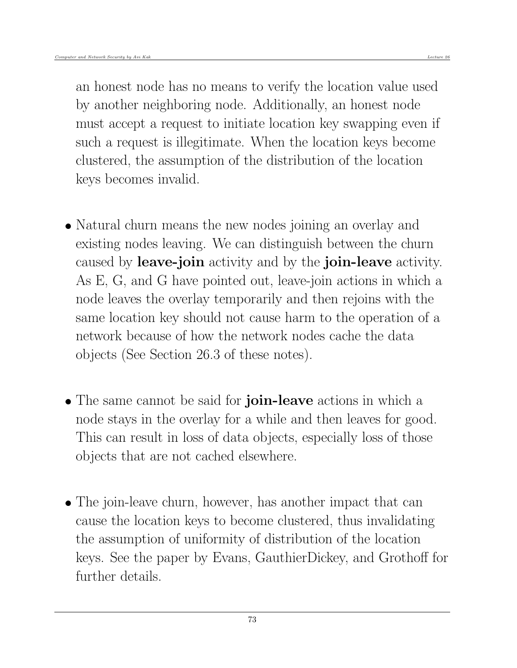an honest node has no means to verify the location value used by another neighboring node. Additionally, an honest node must accept a request to initiate location key swapping even if such a request is illegitimate. When the location keys become clustered, the assumption of the distribution of the location keys becomes invalid.

- Natural churn means the new nodes joining an overlay and existing nodes leaving. We can distinguish between the churn caused by leave-join activity and by the join-leave activity. As E, G, and G have pointed out, leave-join actions in which a node leaves the overlay temporarily and then rejoins with the same location key should not cause harm to the operation of a network because of how the network nodes cache the data objects (See Section 26.3 of these notes).
- The same cannot be said for **join-leave** actions in which a node stays in the overlay for a while and then leaves for good. This can result in loss of data objects, especially loss of those objects that are not cached elsewhere.
- The join-leave churn, however, has another impact that can cause the location keys to become clustered, thus invalidating the assumption of uniformity of distribution of the location keys. See the paper by Evans, GauthierDickey, and Grothoff for further details.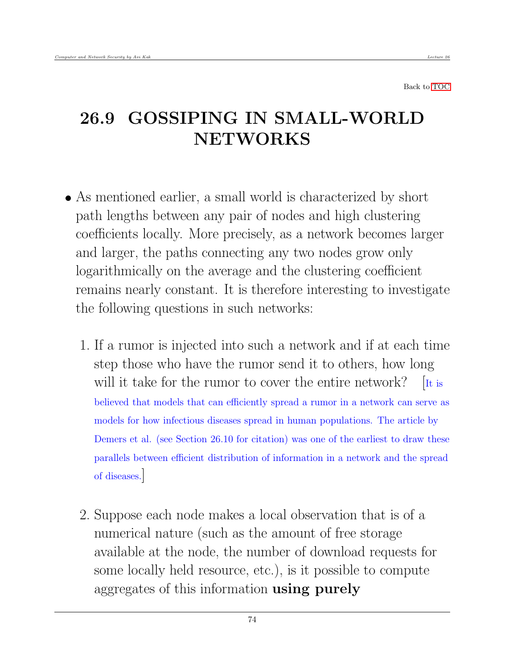Back to [TOC](#page-1-0)

## 26.9 GOSSIPING IN SMALL-WORLD **NETWORKS**

- As mentioned earlier, a small world is characterized by short path lengths between any pair of nodes and high clustering coefficients locally. More precisely, as a network becomes larger and larger, the paths connecting any two nodes grow only logarithmically on the average and the clustering coefficient remains nearly constant. It is therefore interesting to investigate the following questions in such networks:
	- 1. If a rumor is injected into such a network and if at each time step those who have the rumor send it to others, how long will it take for the rumor to cover the entire network?  $[I<sub>t</sub>$  is believed that models that can efficiently spread a rumor in a network can serve as models for how infectious diseases spread in human populations. The article by Demers et al. (see Section 26.10 for citation) was one of the earliest to draw these parallels between efficient distribution of information in a network and the spread of diseases.]
	- 2. Suppose each node makes a local observation that is of a numerical nature (such as the amount of free storage available at the node, the number of download requests for some locally held resource, etc.), is it possible to compute aggregates of this information using purely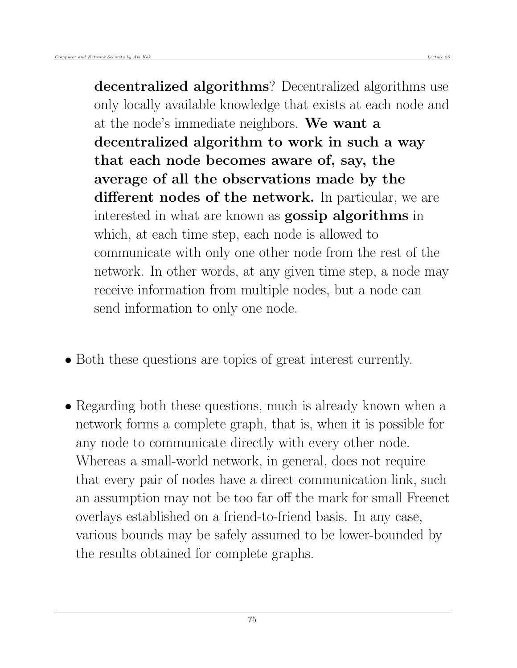decentralized algorithms? Decentralized algorithms use only locally available knowledge that exists at each node and at the node's immediate neighbors. We want a decentralized algorithm to work in such a way that each node becomes aware of, say, the average of all the observations made by the different nodes of the network. In particular, we are interested in what are known as **gossip algorithms** in which, at each time step, each node is allowed to communicate with only one other node from the rest of the network. In other words, at any given time step, a node may receive information from multiple nodes, but a node can send information to only one node.

- Both these questions are topics of great interest currently.
- Regarding both these questions, much is already known when a network forms a complete graph, that is, when it is possible for any node to communicate directly with every other node. Whereas a small-world network, in general, does not require that every pair of nodes have a direct communication link, such an assumption may not be too far off the mark for small Freenet overlays established on a friend-to-friend basis. In any case, various bounds may be safely assumed to be lower-bounded by the results obtained for complete graphs.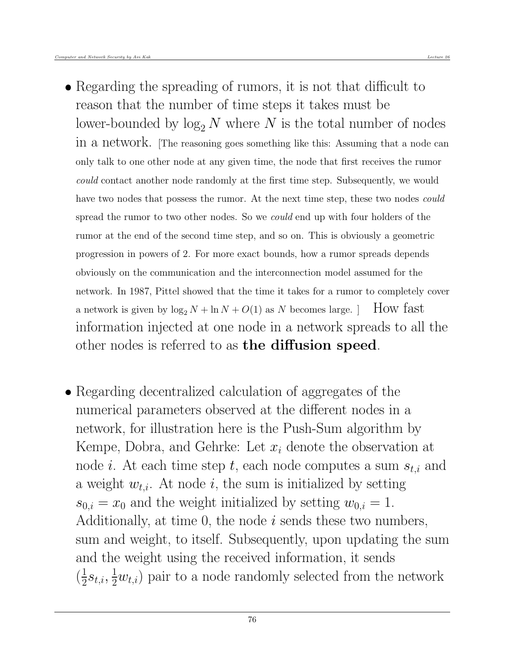- Regarding the spreading of rumors, it is not that difficult to reason that the number of time steps it takes must be lower-bounded by  $\log_2 N$  where N is the total number of nodes in a network. [The reasoning goes something like this: Assuming that a node can only talk to one other node at any given time, the node that first receives the rumor could contact another node randomly at the first time step. Subsequently, we would have two nodes that possess the rumor. At the next time step, these two nodes *could* spread the rumor to two other nodes. So we *could* end up with four holders of the rumor at the end of the second time step, and so on. This is obviously a geometric progression in powers of 2. For more exact bounds, how a rumor spreads depends obviously on the communication and the interconnection model assumed for the network. In 1987, Pittel showed that the time it takes for a rumor to completely cover a network is given by  $\log_2 N + \ln N + O(1)$  as N becomes large. ] How fast information injected at one node in a network spreads to all the other nodes is referred to as the diffusion speed.
- Regarding decentralized calculation of aggregates of the numerical parameters observed at the different nodes in a network, for illustration here is the Push-Sum algorithm by Kempe, Dobra, and Gehrke: Let  $x_i$  denote the observation at node i. At each time step t, each node computes a sum  $s_{t,i}$  and a weight  $w_{t,i}$ . At node *i*, the sum is initialized by setting  $s_{0,i} = x_0$  and the weight initialized by setting  $w_{0,i} = 1$ . Additionally, at time  $0$ , the node  $i$  sends these two numbers, sum and weight, to itself. Subsequently, upon updating the sum and the weight using the received information, it sends  $\left(\frac{1}{2}\right)$  $\frac{1}{2} s_{t,i}, \frac{1}{2} w_{t,i}$ ) pair to a node randomly selected from the network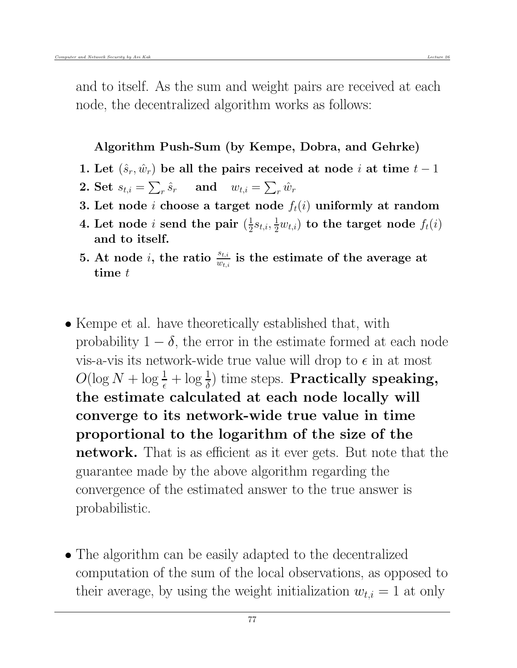and to itself. As the sum and weight pairs are received at each node, the decentralized algorithm works as follows:

## Algorithm Push-Sum (by Kempe, Dobra, and Gehrke)

- 1. Let  $(\hat{s}_r, \hat{w}_r)$  be all the pairs received at node i at time  $t-1$
- $\textbf{2. Set} \ \ s_{t,i} = \sum_r \hat{s}_r \quad \ \ \textbf{and} \quad \ w_{t,i} = \sum_r \hat{w}_r$
- 3. Let node *i* choose a target node  $f_t(i)$  uniformly at random
- 4. Let node *i* send the pair  $(\frac{1}{2})$  $\frac{1}{2} s_{t,i}, \frac{1}{2} w_{t,i})$  to the target node  $f_t(i)$ and to itself.
- 5. At node *i*, the ratio  $\frac{s_{t,i}}{w_{t,i}}$  is the estimate of the average at time t
- Kempe et al. have theoretically established that, with probability  $1 - \delta$ , the error in the estimate formed at each node vis-a-vis its network-wide true value will drop to  $\epsilon$  in at most  $O(\log N + \log \frac{1}{\epsilon} + \log \frac{1}{\delta})$  time steps. **Practically speaking,** the estimate calculated at each node locally will converge to its network-wide true value in time proportional to the logarithm of the size of the network. That is as efficient as it ever gets. But note that the guarantee made by the above algorithm regarding the convergence of the estimated answer to the true answer is probabilistic.
- The algorithm can be easily adapted to the decentralized computation of the sum of the local observations, as opposed to their average, by using the weight initialization  $w_{t,i} = 1$  at only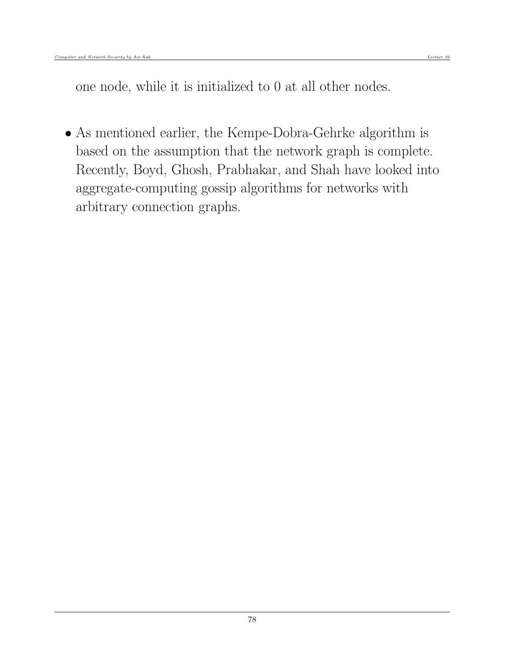one node, while it is initialized to 0 at all other nodes.

 As mentioned earlier, the Kempe-Dobra-Gehrke algorithm is based on the assumption that the network graph is complete. Recently, Boyd, Ghosh, Prabhakar, and Shah have looked into aggregate-computing gossip algorithms for networks with arbitrary connection graphs.